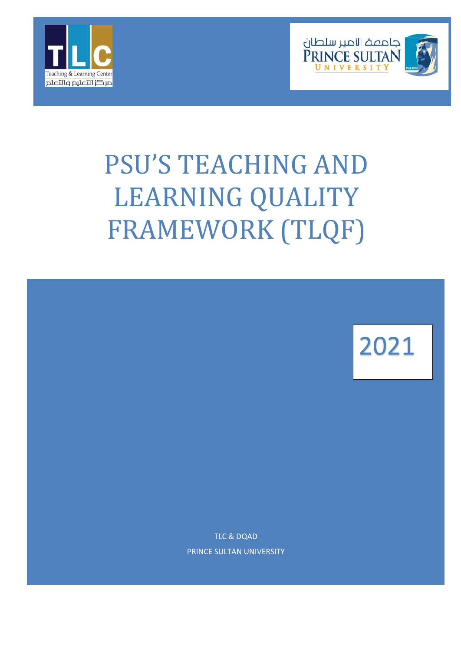



# PSU'S TEACHING AND LEARNING QUALITY FRAMEWORK (TLQF)



TLC & DQAD PRINCE SULTAN UNIVERSITY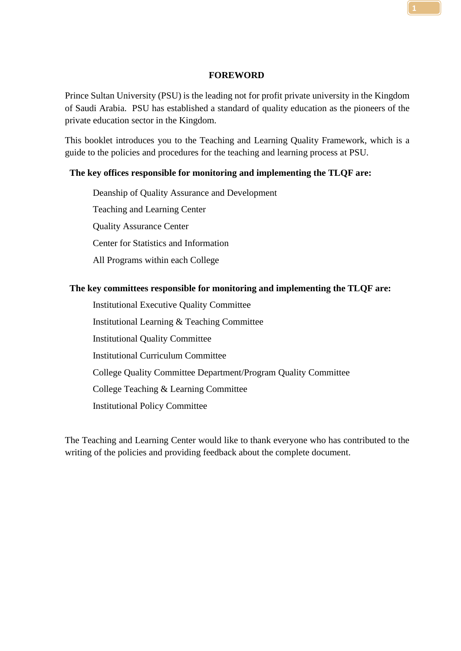#### **FOREWORD**

<span id="page-1-0"></span>Prince Sultan University (PSU) is the leading not for profit private university in the Kingdom of Saudi Arabia. PSU has established a standard of quality education as the pioneers of the private education sector in the Kingdom.

This booklet introduces you to the Teaching and Learning Quality Framework, which is a guide to the policies and procedures for the teaching and learning process at PSU.

#### **The key offices responsible for monitoring and implementing the TLQF are:**

Deanship of Quality Assurance and Development Teaching and Learning Center Quality Assurance Center Center for Statistics and Information All Programs within each College

#### **The key committees responsible for monitoring and implementing the TLQF are:**

Institutional Executive Quality Committee Institutional Learning & Teaching Committee Institutional Quality Committee Institutional Curriculum Committee College Quality Committee Department/Program Quality Committee College Teaching & Learning Committee Institutional Policy Committee

The Teaching and Learning Center would like to thank everyone who has contributed to the writing of the policies and providing feedback about the complete document.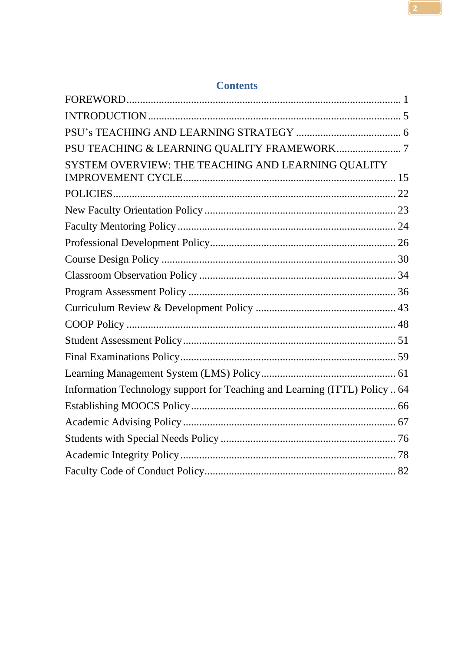| whitehills                                                                 |  |
|----------------------------------------------------------------------------|--|
|                                                                            |  |
|                                                                            |  |
|                                                                            |  |
|                                                                            |  |
| SYSTEM OVERVIEW: THE TEACHING AND LEARNING QUALITY                         |  |
|                                                                            |  |
|                                                                            |  |
|                                                                            |  |
|                                                                            |  |
|                                                                            |  |
|                                                                            |  |
|                                                                            |  |
|                                                                            |  |
|                                                                            |  |
|                                                                            |  |
|                                                                            |  |
|                                                                            |  |
| Information Technology support for Teaching and Learning (ITTL) Policy  64 |  |
|                                                                            |  |
|                                                                            |  |
|                                                                            |  |
|                                                                            |  |
|                                                                            |  |

# **Contents**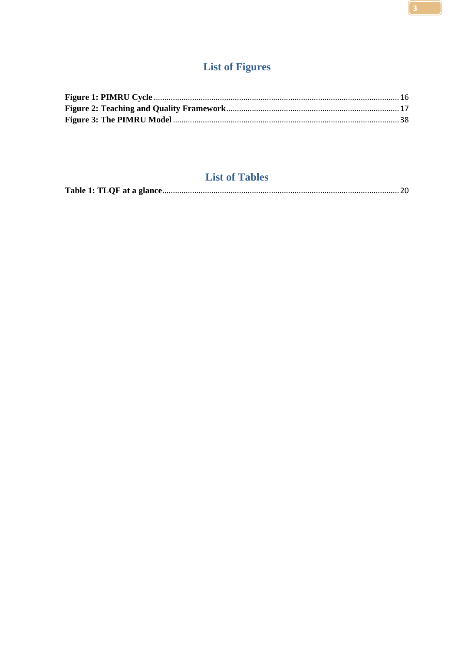# **List of Figures**

# **List of Tables**

|--|--|--|--|--|--|--|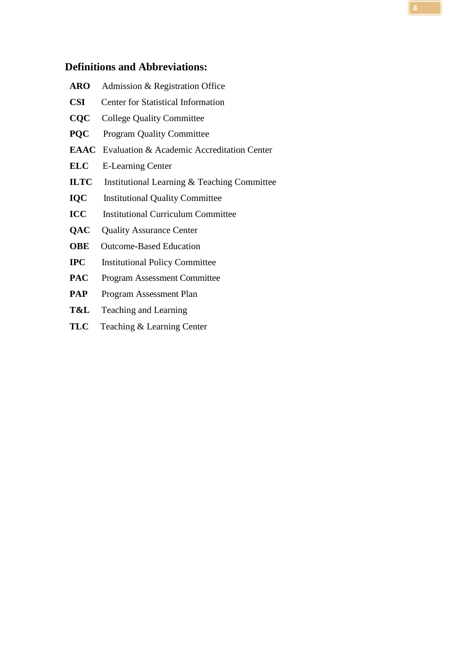# **Definitions and Abbreviations:**

| <b>ARO</b>   | Admission & Registration Office                        |  |  |
|--------------|--------------------------------------------------------|--|--|
| <b>CSI</b>   | <b>Center for Statistical Information</b>              |  |  |
| CQC          | <b>College Quality Committee</b>                       |  |  |
| <b>POC</b>   | <b>Program Quality Committee</b>                       |  |  |
|              | <b>EAAC</b> Evaluation & Academic Accreditation Center |  |  |
| <b>ELC</b>   | <b>E-Learning Center</b>                               |  |  |
| <b>ILTC</b>  | Institutional Learning & Teaching Committee            |  |  |
| <b>IQC</b>   | <b>Institutional Quality Committee</b>                 |  |  |
| <b>ICC</b>   | <b>Institutional Curriculum Committee</b>              |  |  |
| QAC          | <b>Quality Assurance Center</b>                        |  |  |
| <b>OBE</b>   | <b>Outcome-Based Education</b>                         |  |  |
| $_{\rm IPC}$ | <b>Institutional Policy Committee</b>                  |  |  |
| <b>PAC</b>   | <b>Program Assessment Committee</b>                    |  |  |
| PAP          | Program Assessment Plan                                |  |  |

- **T&L** Teaching and Learning
- **TLC** Teaching & Learning Center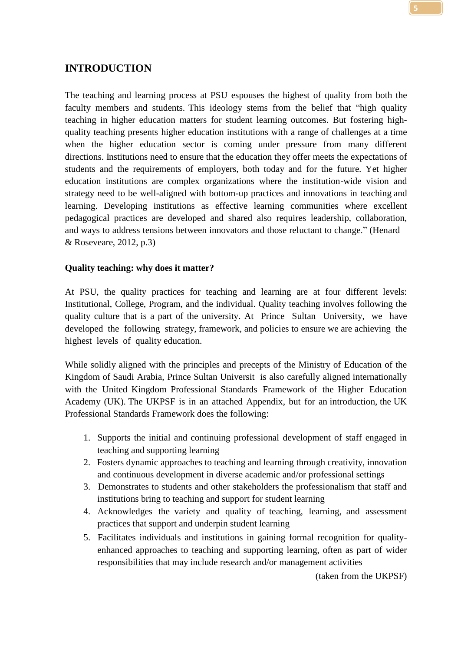#### <span id="page-5-0"></span>**INTRODUCTION**

The teaching and learning process at PSU espouses the highest of quality from both the faculty members and students. This ideology stems from the belief that "high quality teaching in higher education matters for student learning outcomes. But fostering highquality teaching presents higher education institutions with a range of challenges at a time when the higher education sector is coming under pressure from many different directions. Institutions need to ensure that the education they offer meets the expectations of students and the requirements of employers, both today and for the future. Yet higher education institutions are complex organizations where the institution-wide vision and strategy need to be well-aligned with bottom-up practices and innovations in teaching and learning. Developing institutions as effective learning communities where excellent pedagogical practices are developed and shared also requires leadership, collaboration, and ways to address tensions between innovators and those reluctant to change." (Henard & Roseveare, 2012, p.3)

#### **Quality teaching: why does it matter?**

At PSU, the quality practices for teaching and learning are at four different levels: Institutional, College, Program, and the individual. Quality teaching involves following the quality culture that is a part of the university. At Prince Sultan University, we have developed the following strategy, framework, and policies to ensure we are achieving the highest levels of quality education.

While solidly aligned with the principles and precepts of the Ministry of Education of the Kingdom of Saudi Arabia, Prince Sultan Universit is also carefully aligned internationally with the United Kingdom Professional Standards Framework of the Higher Education Academy (UK). The UKPSF is in an attached Appendix, but for an introduction, the UK Professional Standards Framework does the following:

- 1. Supports the initial and continuing professional development of staff engaged in teaching and supporting learning
- 2. Fosters dynamic approaches to teaching and learning through creativity, innovation and continuous development in diverse academic and/or professional settings
- 3. Demonstrates to students and other stakeholders the professionalism that staff and institutions bring to teaching and support for student learning
- 4. Acknowledges the variety and quality of teaching, learning, and assessment practices that support and underpin student learning
- 5. Facilitates individuals and institutions in gaining formal recognition for qualityenhanced approaches to teaching and supporting learning, often as part of wider responsibilities that may include research and/or management activities

(taken from the UKPSF)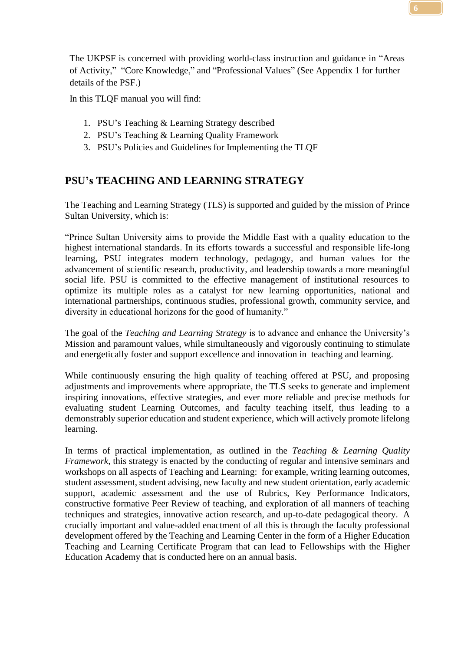The UKPSF is concerned with providing world-class instruction and guidance in "Areas of Activity," "Core Knowledge," and "Professional Values" (See Appendix 1 for further details of the PSF.)

In this TLQF manual you will find:

- 1. PSU's Teaching & Learning Strategy described
- 2. PSU's Teaching & Learning Quality Framework
- 3. PSU's Policies and Guidelines for Implementing the TLQF

# <span id="page-6-0"></span>**PSU's TEACHING AND LEARNING STRATEGY**

The Teaching and Learning Strategy (TLS) is supported and guided by the mission of Prince Sultan University, which is:

"Prince Sultan University aims to provide the Middle East with a quality education to the highest international standards. In its efforts towards a successful and responsible life-long learning, PSU integrates modern technology, pedagogy, and human values for the advancement of scientific research, productivity, and leadership towards a more meaningful social life. PSU is committed to the effective management of institutional resources to optimize its multiple roles as a catalyst for new learning opportunities, national and international partnerships, continuous studies, professional growth, community service, and diversity in educational horizons for the good of humanity."

The goal of the *Teaching and Learning Strategy* is to advance and enhance the University's Mission and paramount values, while simultaneously and vigorously continuing to stimulate and energetically foster and support excellence and innovation in teaching and learning.

While continuously ensuring the high quality of teaching offered at PSU, and proposing adjustments and improvements where appropriate, the TLS seeks to generate and implement inspiring innovations, effective strategies, and ever more reliable and precise methods for evaluating student Learning Outcomes, and faculty teaching itself, thus leading to a demonstrably superior education and student experience, which will actively promote lifelong learning.

In terms of practical implementation, as outlined in the *Teaching & Learning Quality Framework*, this strategy is enacted by the conducting of regular and intensive seminars and workshops on all aspects of Teaching and Learning: for example, writing learning outcomes, student assessment, student advising, new faculty and new student orientation, early academic support, academic assessment and the use of Rubrics, Key Performance Indicators, constructive formative Peer Review of teaching, and exploration of all manners of teaching techniques and strategies, innovative action research, and up-to-date pedagogical theory. A crucially important and value-added enactment of all this is through the faculty professional development offered by the Teaching and Learning Center in the form of a Higher Education Teaching and Learning Certificate Program that can lead to Fellowships with the Higher Education Academy that is conducted here on an annual basis.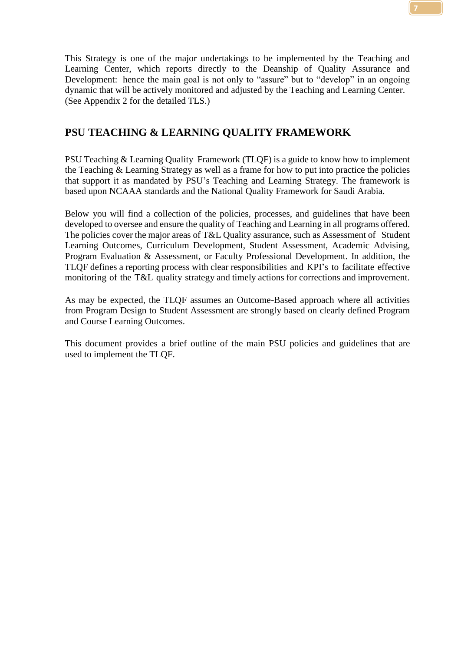This Strategy is one of the major undertakings to be implemented by the Teaching and Learning Center, which reports directly to the Deanship of Quality Assurance and Development: hence the main goal is not only to "assure" but to "develop" in an ongoing dynamic that will be actively monitored and adjusted by the Teaching and Learning Center. (See Appendix 2 for the detailed TLS.)

#### <span id="page-7-0"></span>**PSU TEACHING & LEARNING QUALITY FRAMEWORK**

PSU Teaching & Learning Quality Framework (TLQF) is a guide to know how to implement the Teaching & Learning Strategy as well as a frame for how to put into practice the policies that support it as mandated by PSU's Teaching and Learning Strategy. The framework is based upon NCAAA standards and the National Quality Framework for Saudi Arabia.

Below you will find a collection of the policies, processes, and guidelines that have been developed to oversee and ensure the quality of Teaching and Learning in all programs offered. The policies cover the major areas of T&L Quality assurance, such as Assessment of Student Learning Outcomes, Curriculum Development, Student Assessment, Academic Advising, Program Evaluation & Assessment, or Faculty Professional Development. In addition, the TLQF defines a reporting process with clear responsibilities and KPI's to facilitate effective monitoring of the T&L quality strategy and timely actions for corrections and improvement.

As may be expected, the TLQF assumes an Outcome-Based approach where all activities from Program Design to Student Assessment are strongly based on clearly defined Program and Course Learning Outcomes.

This document provides a brief outline of the main PSU policies and guidelines that are used to implement the TLQF.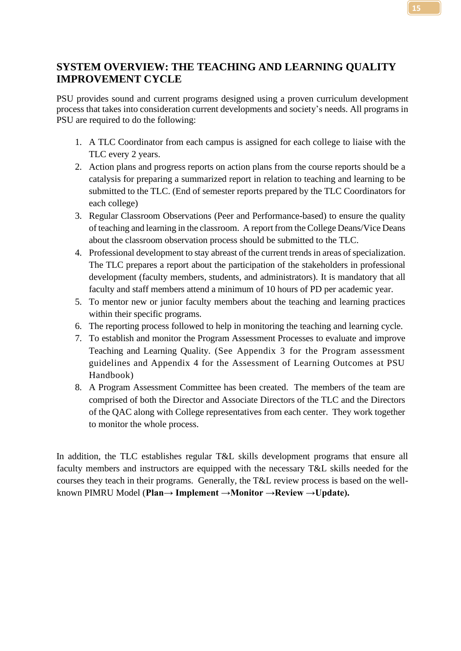## <span id="page-8-0"></span>**SYSTEM OVERVIEW: THE TEACHING AND LEARNING QUALITY IMPROVEMENT CYCLE**

PSU provides sound and current programs designed using a proven curriculum development process that takes into consideration current developments and society's needs. All programs in PSU are required to do the following:

- 1. A TLC Coordinator from each campus is assigned for each college to liaise with the TLC every 2 years.
- 2. Action plans and progress reports on action plans from the course reports should be a catalysis for preparing a summarized report in relation to teaching and learning to be submitted to the TLC. (End of semester reports prepared by the TLC Coordinators for each college)
- 3. Regular Classroom Observations (Peer and Performance-based) to ensure the quality of teaching and learning in the classroom. A report from the College Deans/Vice Deans about the classroom observation process should be submitted to the TLC.
- 4. Professional development to stay abreast of the current trends in areas of specialization. The TLC prepares a report about the participation of the stakeholders in professional development (faculty members, students, and administrators). It is mandatory that all faculty and staff members attend a minimum of 10 hours of PD per academic year.
- 5. To mentor new or junior faculty members about the teaching and learning practices within their specific programs.
- 6. The reporting process followed to help in monitoring the teaching and learning cycle.
- 7. To establish and monitor the Program Assessment Processes to evaluate and improve Teaching and Learning Quality. (See Appendix 3 for the Program assessment guidelines and Appendix 4 for the Assessment of Learning Outcomes at PSU Handbook)
- 8. A Program Assessment Committee has been created. The members of the team are comprised of both the Director and Associate Directors of the TLC and the Directors of the QAC along with College representatives from each center. They work together to monitor the whole process.

In addition, the TLC establishes regular T&L skills development programs that ensure all faculty members and instructors are equipped with the necessary T&L skills needed for the courses they teach in their programs. Generally, the T&L review process is based on the wellknown PIMRU Model (**Plan→ Implement →Monitor →Review →Update).**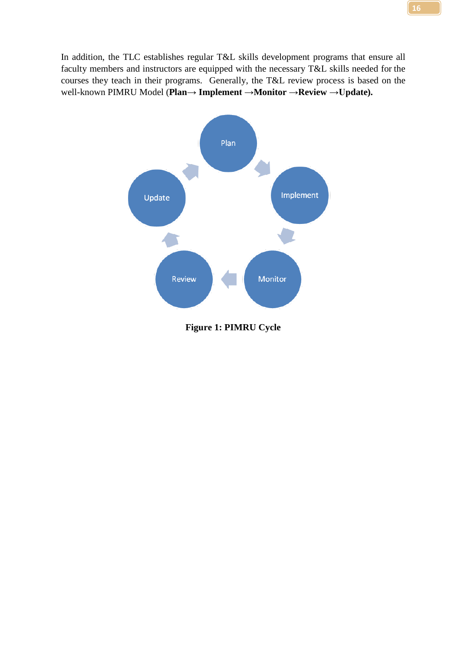In addition, the TLC establishes regular T&L skills development programs that ensure all faculty members and instructors are equipped with the necessary T&L skills needed for the courses they teach in their programs. Generally, the T&L review process is based on the well-known PIMRU Model (**Plan→ Implement →Monitor →Review →Update).**



<span id="page-9-0"></span>**Figure 1: PIMRU Cycle**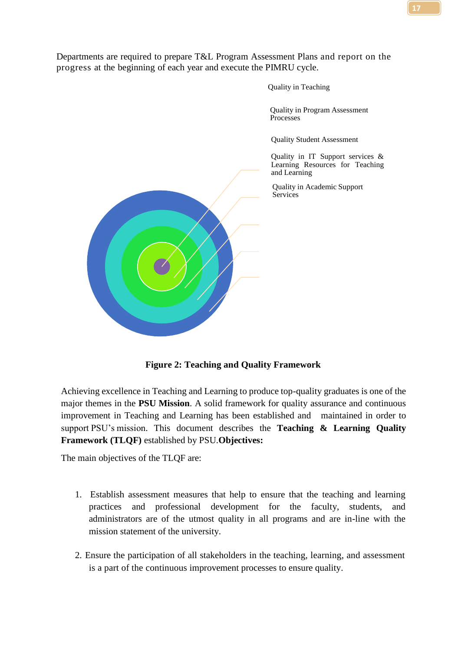Departments are required to prepare T&L Program Assessment Plans and report on the progress at the beginning of each year and execute the PIMRU cycle.

Quality in Teaching

Quality in Program Assessment Processes

Quality Student Assessment

Quality in IT Support services & Learning Resources for Teaching and Learning

Quality in Academic Support **Services** 

**Figure 2: Teaching and Quality Framework**

<span id="page-10-0"></span>Achieving excellence in Teaching and Learning to produce top-quality graduates is one of the major themes in the **PSU Mission**. A solid framework for quality assurance and continuous improvement in Teaching and Learning has been established and maintained in order to support PSU's mission. This document describes the **Teaching & Learning Quality Framework (TLQF)** established by PSU.**Objectives:**

The main objectives of the TLQF are:

- 1. Establish assessment measures that help to ensure that the teaching and learning practices and professional development for the faculty, students, and administrators are of the utmost quality in all programs and are in-line with the mission statement of the university.
- 2. Ensure the participation of all stakeholders in the teaching, learning, and assessment is a part of the continuous improvement processes to ensure quality.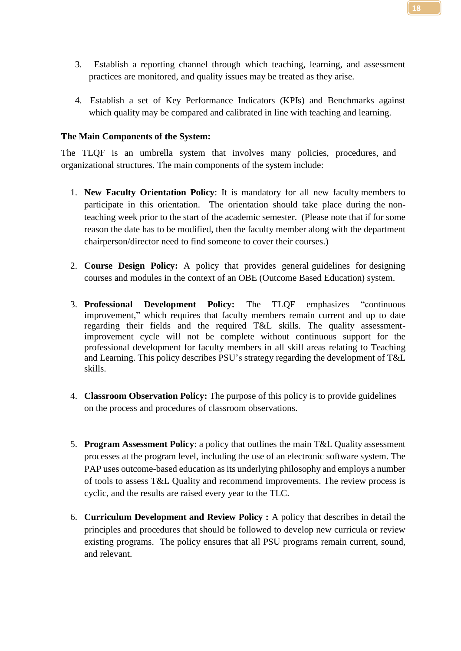- 3. Establish a reporting channel through which teaching, learning, and assessment practices are monitored, and quality issues may be treated as they arise.
- 4. Establish a set of Key Performance Indicators (KPIs) and Benchmarks against which quality may be compared and calibrated in line with teaching and learning.

#### **The Main Components of the System:**

The TLQF is an umbrella system that involves many policies, procedures, and organizational structures. The main components of the system include:

- 1. **New Faculty Orientation Policy**: It is mandatory for all new faculty members to participate in this orientation. The orientation should take place during the nonteaching week prior to the start of the academic semester. (Please note that if for some reason the date has to be modified, then the faculty member along with the department chairperson/director need to find someone to cover their courses.)
- 2. **Course Design Policy:** A policy that provides general guidelines for designing courses and modules in the context of an OBE (Outcome Based Education) system.
- 3. **Professional Development Policy:** The TLQF emphasizes "continuous improvement," which requires that faculty members remain current and up to date regarding their fields and the required T&L skills. The quality assessmentimprovement cycle will not be complete without continuous support for the professional development for faculty members in all skill areas relating to Teaching and Learning. This policy describes PSU's strategy regarding the development of T&L skills.
- 4. **Classroom Observation Policy:** The purpose of this policy is to provide guidelines on the process and procedures of classroom observations.
- 5. **Program Assessment Policy**: a policy that outlines the main T&L Quality assessment processes at the program level, including the use of an electronic software system. The PAP uses outcome-based education as its underlying philosophy and employs a number of tools to assess T&L Quality and recommend improvements. The review process is cyclic, and the results are raised every year to the TLC.
- 6. **Curriculum Development and Review Policy :** A policy that describes in detail the principles and procedures that should be followed to develop new curricula or review existing programs. The policy ensures that all PSU programs remain current, sound, and relevant.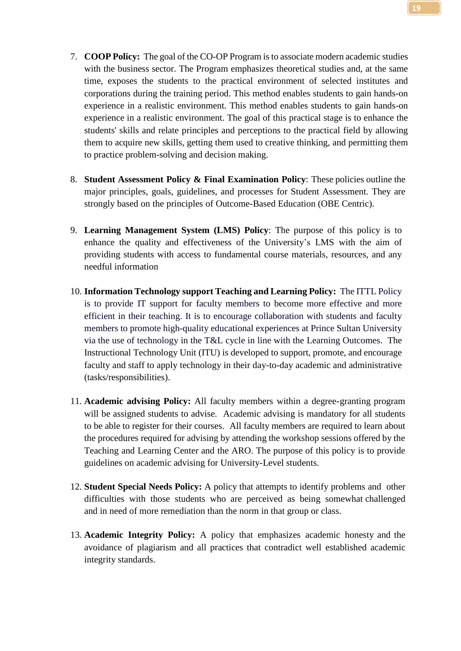- 7. **COOP Policy:** The goal of the CO-OP Program is to associate modern academic studies with the business sector. The Program emphasizes theoretical studies and, at the same time, exposes the students to the practical environment of selected institutes and corporations during the training period. This method enables students to gain hands-on experience in a realistic environment. This method enables students to gain hands-on experience in a realistic environment. The goal of this practical stage is to enhance the students' skills and relate principles and perceptions to the practical field by allowing them to acquire new skills, getting them used to creative thinking, and permitting them to practice problem-solving and decision making.
- 8. **Student Assessment Policy & Final Examination Policy**: These policies outline the major principles, goals, guidelines, and processes for Student Assessment. They are strongly based on the principles of Outcome-Based Education (OBE Centric).
- 9. **Learning Management System (LMS) Policy**: The purpose of this policy is to enhance the quality and effectiveness of the University's LMS with the aim of providing students with access to fundamental course materials, resources, and any needful information
- 10. **Information Technology support Teaching and Learning Policy:** The ITTL Policy is to provide IT support for faculty members to become more effective and more efficient in their teaching. It is to encourage collaboration with students and faculty members to promote high-quality educational experiences at Prince Sultan University via the use of technology in the T&L cycle in line with the Learning Outcomes. The Instructional Technology Unit (ITU) is developed to support, promote, and encourage faculty and staff to apply technology in their day-to-day academic and administrative (tasks/responsibilities).
- 11. **Academic advising Policy:** All faculty members within a degree-granting program will be assigned students to advise. Academic advising is mandatory for all students to be able to register for their courses. All faculty members are required to learn about the procedures required for advising by attending the workshop sessions offered by the Teaching and Learning Center and the ARO. The purpose of this policy is to provide guidelines on academic advising for University-Level students.
- 12. **Student Special Needs Policy:** A policy that attempts to identify problems and other difficulties with those students who are perceived as being somewhat challenged and in need of more remediation than the norm in that group or class.
- 13. **Academic Integrity Policy:** A policy that emphasizes academic honesty and the avoidance of plagiarism and all practices that contradict well established academic integrity standards.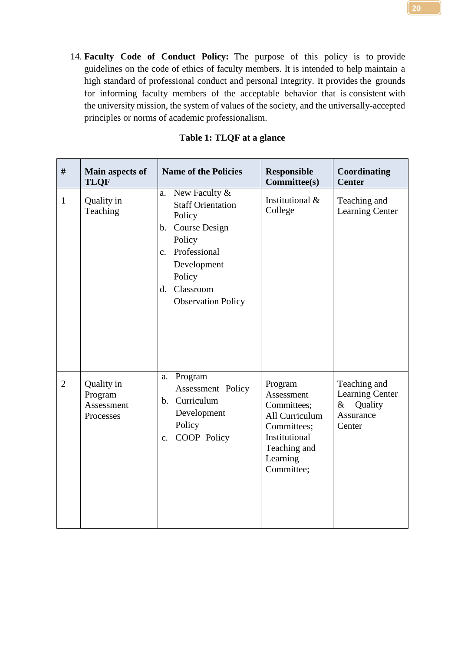14. **Faculty Code of Conduct Policy:** The purpose of this policy is to provide guidelines on the code of ethics of faculty members. It is intended to help maintain a high standard of professional conduct and personal integrity. It provides the grounds for informing faculty members of the acceptable behavior that is consistent with the university mission, the system of values of the society, and the universally-accepted principles or norms of academic professionalism.

<span id="page-13-0"></span>

| #              | Main aspects of<br><b>TLQF</b>                   | <b>Name of the Policies</b>                                                                                                                                                                        | <b>Responsible</b><br>Committee(s)                                                                                               | Coordinating<br><b>Center</b>                                                    |
|----------------|--------------------------------------------------|----------------------------------------------------------------------------------------------------------------------------------------------------------------------------------------------------|----------------------------------------------------------------------------------------------------------------------------------|----------------------------------------------------------------------------------|
| $\mathbf{1}$   | Quality in<br>Teaching                           | New Faculty &<br>a.<br><b>Staff Orientation</b><br>Policy<br>b. Course Design<br>Policy<br>Professional<br>$\mathbf{c}$ .<br>Development<br>Policy<br>Classroom<br>d.<br><b>Observation Policy</b> | Institutional &<br>College                                                                                                       | Teaching and<br><b>Learning Center</b>                                           |
| $\overline{2}$ | Quality in<br>Program<br>Assessment<br>Processes | Program<br>a.<br>Assessment Policy<br>b. Curriculum<br>Development<br>Policy<br>COOP Policy<br>$\mathbf{c}$ .                                                                                      | Program<br>Assessment<br>Committees;<br>All Curriculum<br>Committees;<br>Institutional<br>Teaching and<br>Learning<br>Committee; | Teaching and<br><b>Learning Center</b><br>$\&$<br>Quality<br>Assurance<br>Center |

#### **Table 1: TLQF at a glance**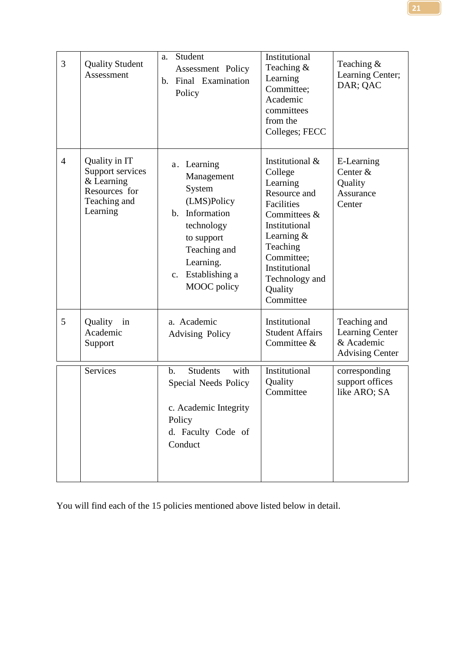| 3              | <b>Quality Student</b><br>Assessment                                                         | Student<br>a.<br>Assessment Policy<br>b. Final Examination<br>Policy                                                                                              | Institutional<br>Teaching $\&$<br>Learning<br>Committee;<br>Academic<br>committees<br>from the<br>Colleges; FECC                                                                                                  | Teaching $&$<br>Learning Center;<br>DAR; QAC                                   |
|----------------|----------------------------------------------------------------------------------------------|-------------------------------------------------------------------------------------------------------------------------------------------------------------------|-------------------------------------------------------------------------------------------------------------------------------------------------------------------------------------------------------------------|--------------------------------------------------------------------------------|
| $\overline{4}$ | Quality in IT<br>Support services<br>& Learning<br>Resources for<br>Teaching and<br>Learning | a. Learning<br>Management<br>System<br>(LMS)Policy<br>b. Information<br>technology<br>to support<br>Teaching and<br>Learning.<br>c. Establishing a<br>MOOC policy | Institutional &<br>College<br>Learning<br>Resource and<br><b>Facilities</b><br>Committees &<br>Institutional<br>Learning $&$<br>Teaching<br>Committee;<br>Institutional<br>Technology and<br>Quality<br>Committee | E-Learning<br>Center &<br>Quality<br>Assurance<br>Center                       |
| 5              | Quality in<br>Academic<br>Support                                                            | a. Academic<br><b>Advising Policy</b>                                                                                                                             | Institutional<br><b>Student Affairs</b><br>Committee &                                                                                                                                                            | Teaching and<br><b>Learning Center</b><br>& Academic<br><b>Advising Center</b> |
|                | Services                                                                                     | <b>Students</b><br>with<br>b.<br>Special Needs Policy<br>c. Academic Integrity<br>Policy<br>d. Faculty Code of<br>Conduct                                         | Institutional<br>Quality<br>Committee                                                                                                                                                                             | corresponding<br>support offices<br>like ARO; SA                               |

You will find each of the 15 policies mentioned above listed below in detail.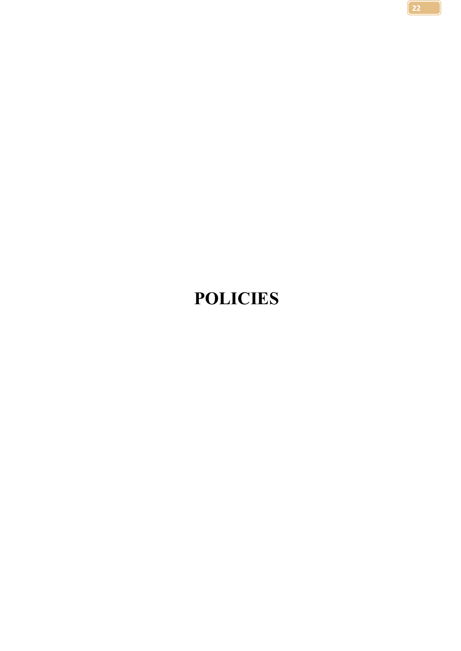# <span id="page-15-0"></span>**POLICIES**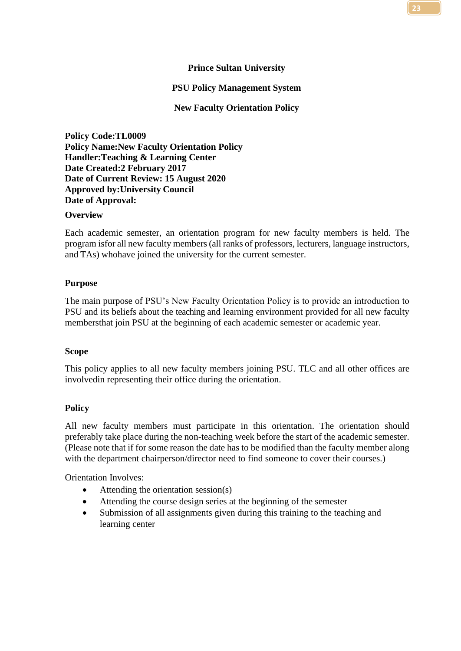#### **Prince Sultan University**

#### **PSU Policy Management System**

#### **New Faculty Orientation Policy**

<span id="page-16-0"></span>**Policy Code:TL0009 Policy Name:New Faculty Orientation Policy Handler:Teaching & Learning Center Date Created:2 February 2017 Date of Current Review: 15 August 2020 Approved by:University Council Date of Approval:**

#### **Overview**

Each academic semester, an orientation program for new faculty members is held. The program isfor all new faculty members(all ranks of professors, lecturers, language instructors, and TAs) whohave joined the university for the current semester.

#### **Purpose**

The main purpose of PSU's New Faculty Orientation Policy is to provide an introduction to PSU and its beliefs about the teaching and learning environment provided for all new faculty membersthat join PSU at the beginning of each academic semester or academic year.

#### **Scope**

This policy applies to all new faculty members joining PSU. TLC and all other offices are involvedin representing their office during the orientation.

#### **Policy**

All new faculty members must participate in this orientation. The orientation should preferably take place during the non-teaching week before the start of the academic semester. (Please note that if for some reason the date has to be modified than the faculty member along with the department chairperson/director need to find someone to cover their courses.)

Orientation Involves:

- Attending the orientation session(s)
- Attending the course design series at the beginning of the semester
- Submission of all assignments given during this training to the teaching and learning center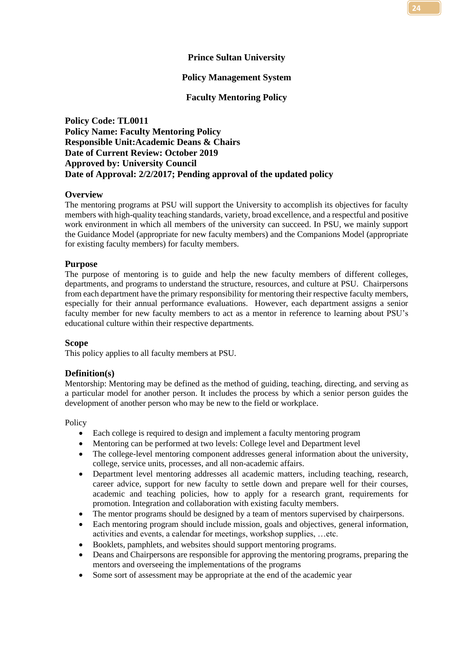#### **Prince Sultan University**

#### **Policy Management System**

#### **Faculty Mentoring Policy**

<span id="page-17-0"></span>**Policy Code: TL0011 Policy Name: Faculty Mentoring Policy Responsible Unit:Academic Deans & Chairs Date of Current Review: October 2019 Approved by: University Council Date of Approval: 2/2/2017; Pending approval of the updated policy**

#### **Overview**

The mentoring programs at PSU will support the University to accomplish its objectives for faculty members with high-quality teaching standards, variety, broad excellence, and a respectful and positive work environment in which all members of the university can succeed. In PSU, we mainly support the Guidance Model (appropriate for new faculty members) and the Companions Model (appropriate for existing faculty members) for faculty members.

#### **Purpose**

The purpose of mentoring is to guide and help the new faculty members of different colleges, departments, and programs to understand the structure, resources, and culture at PSU. Chairpersons from each department have the primary responsibility for mentoring their respective faculty members, especially for their annual performance evaluations. However, each department assigns a senior faculty member for new faculty members to act as a mentor in reference to learning about PSU's educational culture within their respective departments.

#### **Scope**

This policy applies to all faculty members at PSU.

#### **Definition(s)**

Mentorship: Mentoring may be defined as the method of guiding, teaching, directing, and serving as a particular model for another person. It includes the process by which a senior person guides the development of another person who may be new to the field or workplace.

Policy

- Each college is required to design and implement a faculty mentoring program
- Mentoring can be performed at two levels: College level and Department level
- The college-level mentoring component addresses general information about the university, college, service units, processes, and all non-academic affairs.
- Department level mentoring addresses all academic matters, including teaching, research, career advice, support for new faculty to settle down and prepare well for their courses, academic and teaching policies, how to apply for a research grant, requirements for promotion. Integration and collaboration with existing faculty members.
- The mentor programs should be designed by a team of mentors supervised by chairpersons.
- Each mentoring program should include mission, goals and objectives, general information, activities and events, a calendar for meetings, workshop supplies, …etc.
- Booklets, pamphlets, and websites should support mentoring programs.
- Deans and Chairpersons are responsible for approving the mentoring programs, preparing the mentors and overseeing the implementations of the programs
- Some sort of assessment may be appropriate at the end of the academic year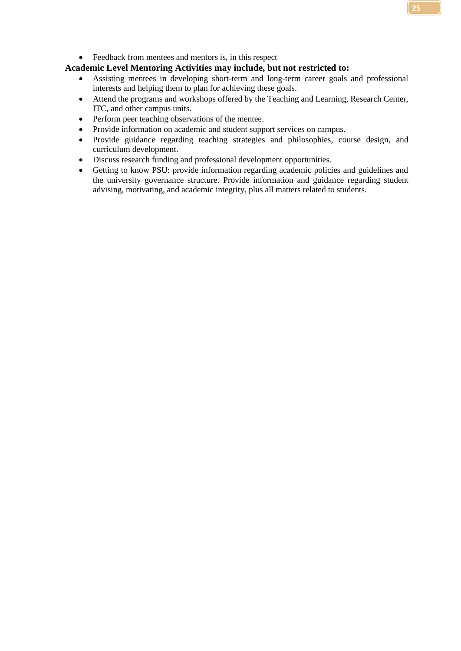#### **Academic Level Mentoring Activities may include, but not restricted to:**

- Assisting mentees in developing short-term and long-term career goals and professional interests and helping them to plan for achieving these goals.
- Attend the programs and workshops offered by the Teaching and Learning, Research Center, ITC, and other campus units.
- Perform peer teaching observations of the mentee.
- Provide information on academic and student support services on campus.
- Provide guidance regarding teaching strategies and philosophies, course design, and curriculum development.
- Discuss research funding and professional development opportunities.
- Getting to know PSU: provide information regarding academic policies and guidelines and the university governance structure. Provide information and guidance regarding student advising, motivating, and academic integrity, plus all matters related to students.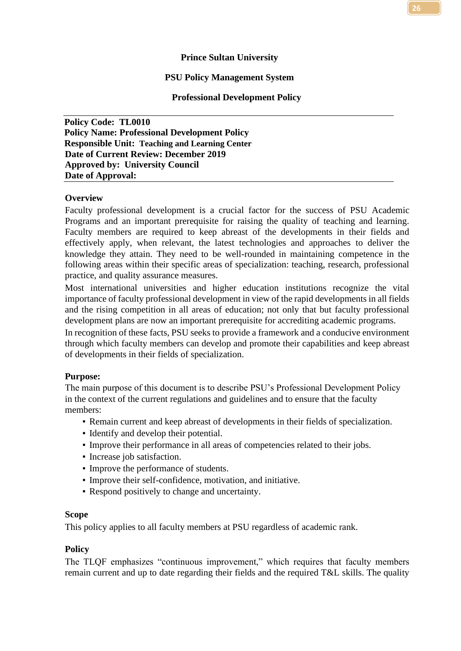#### **Prince Sultan University**

#### **PSU Policy Management System**

#### **Professional Development Policy**

<span id="page-19-0"></span>**Policy Code: TL0010 Policy Name: Professional Development Policy Responsible Unit: Teaching and Learning Center Date of Current Review: December 2019 Approved by: University Council Date of Approval:** 

#### **Overview**

Faculty professional development is a crucial factor for the success of PSU Academic Programs and an important prerequisite for raising the quality of teaching and learning. Faculty members are required to keep abreast of the developments in their fields and effectively apply, when relevant, the latest technologies and approaches to deliver the knowledge they attain. They need to be well-rounded in maintaining competence in the following areas within their specific areas of specialization: teaching, research, professional practice, and quality assurance measures.

Most international universities and higher education institutions recognize the vital importance of faculty professional development in view of the rapid developments in all fields and the rising competition in all areas of education; not only that but faculty professional development plans are now an important prerequisite for accrediting academic programs.

In recognition of these facts, PSU seeks to provide a framework and a conducive environment through which faculty members can develop and promote their capabilities and keep abreast of developments in their fields of specialization.

#### **Purpose:**

The main purpose of this document is to describe PSU's Professional Development Policy in the context of the current regulations and guidelines and to ensure that the faculty members:

- Remain current and keep abreast of developments in their fields of specialization.
- Identify and develop their potential.
- Improve their performance in all areas of competencies related to their jobs.
- Increase job satisfaction.
- Improve the performance of students.
- Improve their self-confidence, motivation, and initiative.
- Respond positively to change and uncertainty.

#### **Scope**

This policy applies to all faculty members at PSU regardless of academic rank.

#### **Policy**

The TLQF emphasizes "continuous improvement," which requires that faculty members remain current and up to date regarding their fields and the required T&L skills. The quality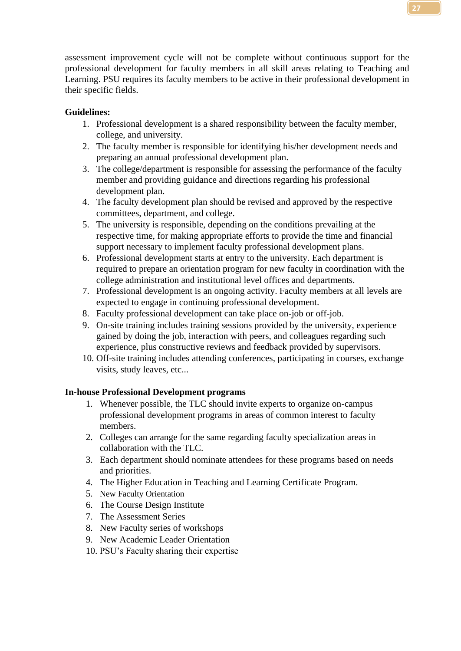assessment improvement cycle will not be complete without continuous support for the professional development for faculty members in all skill areas relating to Teaching and Learning. PSU requires its faculty members to be active in their professional development in their specific fields.

#### **Guidelines:**

- 1. Professional development is a shared responsibility between the faculty member, college, and university.
- 2. The faculty member is responsible for identifying his/her development needs and preparing an annual professional development plan.
- 3. The college/department is responsible for assessing the performance of the faculty member and providing guidance and directions regarding his professional development plan.
- 4. The faculty development plan should be revised and approved by the respective committees, department, and college.
- 5. The university is responsible, depending on the conditions prevailing at the respective time, for making appropriate efforts to provide the time and financial support necessary to implement faculty professional development plans.
- 6. Professional development starts at entry to the university. Each department is required to prepare an orientation program for new faculty in coordination with the college administration and institutional level offices and departments.
- 7. Professional development is an ongoing activity. Faculty members at all levels are expected to engage in continuing professional development.
- 8. Faculty professional development can take place on-job or off-job.
- 9. On-site training includes training sessions provided by the university, experience gained by doing the job, interaction with peers, and colleagues regarding such experience, plus constructive reviews and feedback provided by supervisors.
- 10. Off-site training includes attending conferences, participating in courses, exchange visits, study leaves, etc...

#### **In-house Professional Development programs**

- 1. Whenever possible, the TLC should invite experts to organize on-campus professional development programs in areas of common interest to faculty members.
- 2. Colleges can arrange for the same regarding faculty specialization areas in collaboration with the TLC.
- 3. Each department should nominate attendees for these programs based on needs and priorities.
- 4. The Higher Education in Teaching and Learning Certificate Program.
- 5. New Faculty Orientation
- 6. The Course Design Institute
- 7. The Assessment Series
- 8. New Faculty series of workshops
- 9. New Academic Leader Orientation
- 10. PSU's Faculty sharing their expertise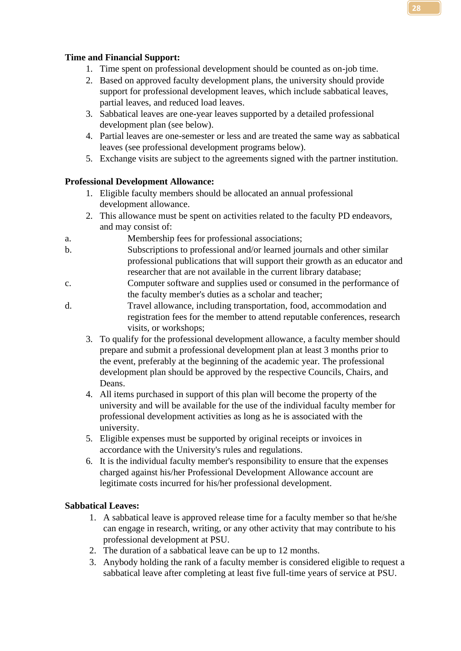#### **Time and Financial Support:**

- 1. Time spent on professional development should be counted as on-job time.
- 2. Based on approved faculty development plans, the university should provide support for professional development leaves, which include sabbatical leaves, partial leaves, and reduced load leaves.
- 3. Sabbatical leaves are one-year leaves supported by a detailed professional development plan (see below).
- 4. Partial leaves are one-semester or less and are treated the same way as sabbatical leaves (see professional development programs below).
- 5. Exchange visits are subject to the agreements signed with the partner institution.

#### **Professional Development Allowance:**

- 1. Eligible faculty members should be allocated an annual professional development allowance.
- 2. This allowance must be spent on activities related to the faculty PD endeavors, and may consist of:
- a. Membership fees for professional associations;
- b. Subscriptions to professional and/or learned journals and other similar professional publications that will support their growth as an educator and researcher that are not available in the current library database;
- c. Computer software and supplies used or consumed in the performance of the faculty member's duties as a scholar and teacher;
- d. Travel allowance, including transportation, food, accommodation and registration fees for the member to attend reputable conferences, research visits, or workshops;
	- 3. To qualify for the professional development allowance, a faculty member should prepare and submit a professional development plan at least 3 months prior to the event, preferably at the beginning of the academic year. The professional development plan should be approved by the respective Councils, Chairs, and Deans.
	- 4. All items purchased in support of this plan will become the property of the university and will be available for the use of the individual faculty member for professional development activities as long as he is associated with the university.
	- 5. Eligible expenses must be supported by original receipts or invoices in accordance with the University's rules and regulations.
	- 6. It is the individual faculty member's responsibility to ensure that the expenses charged against his/her Professional Development Allowance account are legitimate costs incurred for his/her professional development.

#### **Sabbatical Leaves:**

- 1. A sabbatical leave is approved release time for a faculty member so that he/she can engage in research, writing, or any other activity that may contribute to his professional development at PSU.
- 2. The duration of a sabbatical leave can be up to 12 months.
- 3. Anybody holding the rank of a faculty member is considered eligible to request a sabbatical leave after completing at least five full-time years of service at PSU.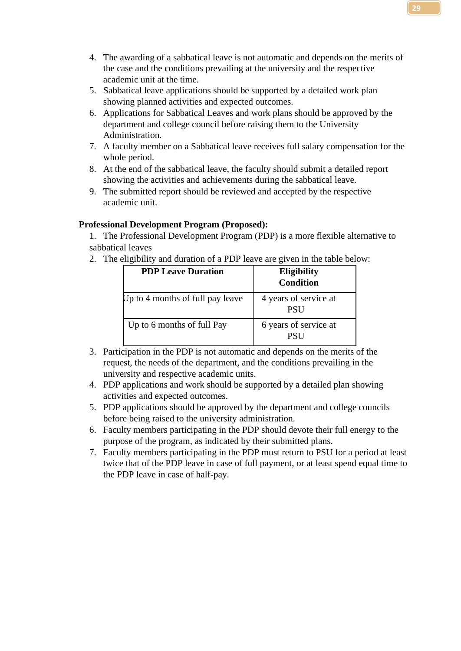- 4. The awarding of a sabbatical leave is not automatic and depends on the merits of the case and the conditions prevailing at the university and the respective academic unit at the time.
- 5. Sabbatical leave applications should be supported by a detailed work plan showing planned activities and expected outcomes.
- 6. Applications for Sabbatical Leaves and work plans should be approved by the department and college council before raising them to the University Administration.
- 7. A faculty member on a Sabbatical leave receives full salary compensation for the whole period.
- 8. At the end of the sabbatical leave, the faculty should submit a detailed report showing the activities and achievements during the sabbatical leave.
- 9. The submitted report should be reviewed and accepted by the respective academic unit.

#### **Professional Development Program (Proposed):**

1. The Professional Development Program (PDP) is a more flexible alternative to sabbatical leaves

2. The eligibility and duration of a PDP leave are given in the table below:

| <b>PDP Leave Duration</b>        | <b>Eligibility</b><br><b>Condition</b> |
|----------------------------------|----------------------------------------|
| Up to 4 months of full pay leave | 4 years of service at<br><b>PSU</b>    |
| Up to 6 months of full Pay       | 6 years of service at<br><b>PSI</b>    |

- 3. Participation in the PDP is not automatic and depends on the merits of the request, the needs of the department, and the conditions prevailing in the university and respective academic units.
- 4. PDP applications and work should be supported by a detailed plan showing activities and expected outcomes.
- 5. PDP applications should be approved by the department and college councils before being raised to the university administration.
- 6. Faculty members participating in the PDP should devote their full energy to the purpose of the program, as indicated by their submitted plans.
- 7. Faculty members participating in the PDP must return to PSU for a period at least twice that of the PDP leave in case of full payment, or at least spend equal time to the PDP leave in case of half-pay.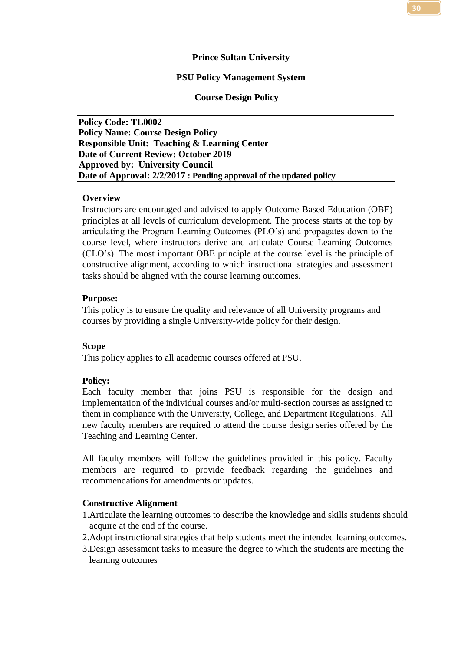#### **Prince Sultan University**

#### **PSU Policy Management System**

#### **Course Design Policy**

<span id="page-23-0"></span>**Policy Code: TL0002 Policy Name: Course Design Policy Responsible Unit: Teaching & Learning Center Date of Current Review: October 2019 Approved by: University Council Date of Approval: 2/2/2017 : Pending approval of the updated policy**

#### **Overview**

Instructors are encouraged and advised to apply Outcome-Based Education (OBE) principles at all levels of curriculum development. The process starts at the top by articulating the Program Learning Outcomes (PLO's) and propagates down to the course level, where instructors derive and articulate Course Learning Outcomes (CLO's). The most important OBE principle at the course level is the principle of constructive alignment, according to which instructional strategies and assessment tasks should be aligned with the course learning outcomes.

#### **Purpose:**

This policy is to ensure the quality and relevance of all University programs and courses by providing a single University-wide policy for their design.

#### **Scope**

This policy applies to all academic courses offered at PSU.

#### **Policy:**

Each faculty member that joins PSU is responsible for the design and implementation of the individual courses and/or multi-section courses as assigned to them in compliance with the University, College, and Department Regulations. All new faculty members are required to attend the course design series offered by the Teaching and Learning Center.

All faculty members will follow the guidelines provided in this policy. Faculty members are required to provide feedback regarding the guidelines and recommendations for amendments or updates.

#### **Constructive Alignment**

1.Articulate the learning outcomes to describe the knowledge and skills students should acquire at the end of the course.

- 2.Adopt instructional strategies that help students meet the intended learning outcomes.
- 3.Design assessment tasks to measure the degree to which the students are meeting the learning outcomes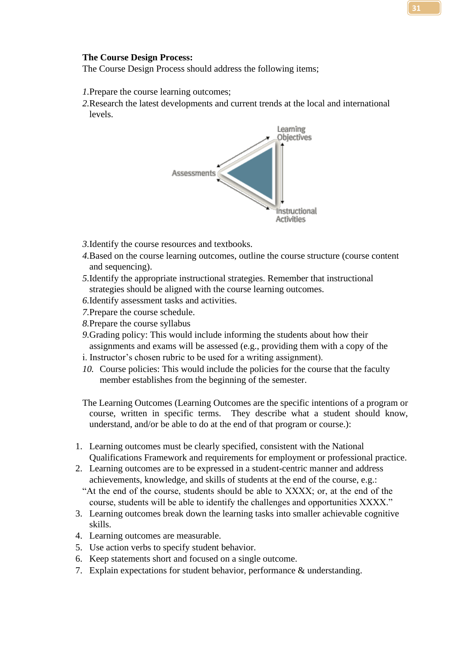The Course Design Process should address the following items;

- *1.*Prepare the course learning outcomes;
- *2.*Research the latest developments and current trends at the local and international levels.



- *3.*Identify the course resources and textbooks.
- *4.*Based on the course learning outcomes, outline the course structure (course content and sequencing).
- *5.*Identify the appropriate instructional strategies. Remember that instructional strategies should be aligned with the course learning outcomes.
- *6.*Identify assessment tasks and activities.
- *7.*Prepare the course schedule.
- *8.*Prepare the course syllabus
- *9.*Grading policy: This would include informing the students about how their assignments and exams will be assessed (e.g., providing them with a copy of the
- i. Instructor's chosen rubric to be used for a writing assignment).
- *10.* Course policies: This would include the policies for the course that the faculty member establishes from the beginning of the semester.

The Learning Outcomes (Learning Outcomes are the specific intentions of a program or course, written in specific terms. They describe what a student should know, understand, and/or be able to do at the end of that program or course.):

- 1. Learning outcomes must be clearly specified, consistent with the National Qualifications Framework and requirements for employment or professional practice.
- 2. Learning outcomes are to be expressed in a student-centric manner and address achievements, knowledge, and skills of students at the end of the course, e.g.:
- "At the end of the course, students should be able to XXXX; or, at the end of the course, students will be able to identify the challenges and opportunities XXXX."
- 3. Learning outcomes break down the learning tasks into smaller achievable cognitive skills.
- 4. Learning outcomes are measurable.
- 5. Use action verbs to specify student behavior.
- 6. Keep statements short and focused on a single outcome.
- 7. Explain expectations for student behavior, performance & understanding.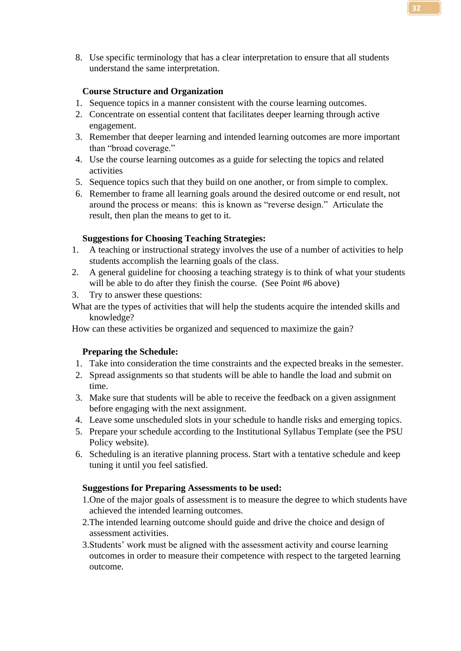8. Use specific terminology that has a clear interpretation to ensure that all students understand the same interpretation.

#### **Course Structure and Organization**

- 1. Sequence topics in a manner consistent with the course learning outcomes.
- 2. Concentrate on essential content that facilitates deeper learning through active engagement.
- 3. Remember that deeper learning and intended learning outcomes are more important than "broad coverage."
- 4. Use the course learning outcomes as a guide for selecting the topics and related activities
- 5. Sequence topics such that they build on one another, or from simple to complex.
- 6. Remember to frame all learning goals around the desired outcome or end result, not around the process or means: this is known as "reverse design." Articulate the result, then plan the means to get to it.

#### **Suggestions for Choosing Teaching Strategies:**

- 1. A teaching or instructional strategy involves the use of a number of activities to help students accomplish the learning goals of the class.
- 2. A general guideline for choosing a teaching strategy is to think of what your students will be able to do after they finish the course. (See Point #6 above)
- 3. Try to answer these questions:
- What are the types of activities that will help the students acquire the intended skills and knowledge?

How can these activities be organized and sequenced to maximize the gain?

#### **Preparing the Schedule:**

- 1. Take into consideration the time constraints and the expected breaks in the semester.
- 2. Spread assignments so that students will be able to handle the load and submit on time.
- 3. Make sure that students will be able to receive the feedback on a given assignment before engaging with the next assignment.
- 4. Leave some unscheduled slots in your schedule to handle risks and emerging topics.
- 5. Prepare your schedule according to the Institutional Syllabus Template (see the PSU Policy website).
- 6. Scheduling is an iterative planning process. Start with a tentative schedule and keep tuning it until you feel satisfied.

#### **Suggestions for Preparing Assessments to be used:**

- 1.One of the major goals of assessment is to measure the degree to which students have achieved the intended learning outcomes.
- 2.The intended learning outcome should guide and drive the choice and design of assessment activities.
- 3.Students' work must be aligned with the assessment activity and course learning outcomes in order to measure their competence with respect to the targeted learning outcome.

**32**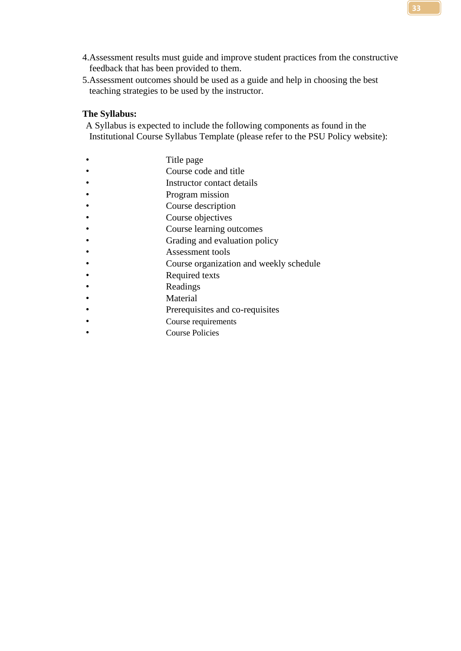- 4.Assessment results must guide and improve student practices from the constructive feedback that has been provided to them.
- 5.Assessment outcomes should be used as a guide and help in choosing the best teaching strategies to be used by the instructor.

#### **The Syllabus:**

A Syllabus is expected to include the following components as found in the Institutional Course Syllabus Template (please refer to the PSU Policy website):

- Title page
- Course code and title
- Instructor contact details
- Program mission
- Course description
- Course objectives
- Course learning outcomes
- Grading and evaluation policy
- Assessment tools
- Course organization and weekly schedule
- Required texts
- Readings
- **Material**
- Prerequisites and co-requisites
- Course requirements
- Course Policies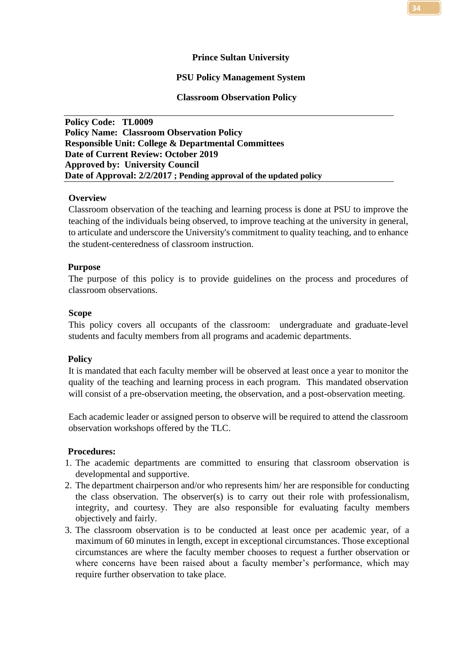#### **Prince Sultan University**

#### **PSU Policy Management System**

#### **Classroom Observation Policy**

<span id="page-27-0"></span>**Policy Code: TL0009 Policy Name: Classroom Observation Policy Responsible Unit: College & Departmental Committees Date of Current Review: October 2019 Approved by: University Council Date of Approval: 2/2/2017 ; Pending approval of the updated policy**

#### **Overview**

Classroom observation of the teaching and learning process is done at PSU to improve the teaching of the individuals being observed, to improve teaching at the university in general, to articulate and underscore the University's commitment to quality teaching, and to enhance the student-centeredness of classroom instruction.

#### **Purpose**

The purpose of this policy is to provide guidelines on the process and procedures of classroom observations.

#### **Scope**

This policy covers all occupants of the classroom: undergraduate and graduate-level students and faculty members from all programs and academic departments.

#### **Policy**

It is mandated that each faculty member will be observed at least once a year to monitor the quality of the teaching and learning process in each program. This mandated observation will consist of a pre-observation meeting, the observation, and a post-observation meeting.

Each academic leader or assigned person to observe will be required to attend the classroom observation workshops offered by the TLC.

#### **Procedures:**

- 1. The academic departments are committed to ensuring that classroom observation is developmental and supportive.
- 2. The department chairperson and/or who represents him/ her are responsible for conducting the class observation. The observer(s) is to carry out their role with professionalism, integrity, and courtesy. They are also responsible for evaluating faculty members objectively and fairly.
- 3. The classroom observation is to be conducted at least once per academic year, of a maximum of 60 minutes in length, except in exceptional circumstances. Those exceptional circumstances are where the faculty member chooses to request a further observation or where concerns have been raised about a faculty member's performance, which may require further observation to take place.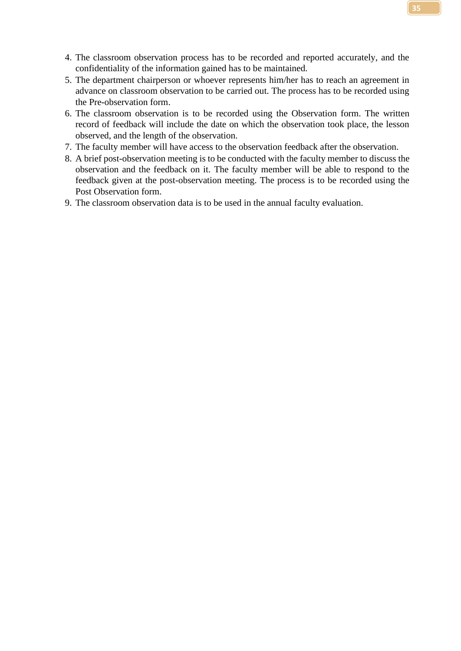- 4. The classroom observation process has to be recorded and reported accurately, and the confidentiality of the information gained has to be maintained.
- 5. The department chairperson or whoever represents him/her has to reach an agreement in advance on classroom observation to be carried out. The process has to be recorded using the Pre-observation form.
- 6. The classroom observation is to be recorded using the Observation form. The written record of feedback will include the date on which the observation took place, the lesson observed, and the length of the observation.
- 7. The faculty member will have access to the observation feedback after the observation.
- 8. A brief post-observation meeting is to be conducted with the faculty member to discuss the observation and the feedback on it. The faculty member will be able to respond to the feedback given at the post-observation meeting. The process is to be recorded using the Post Observation form.
- 9. The classroom observation data is to be used in the annual faculty evaluation.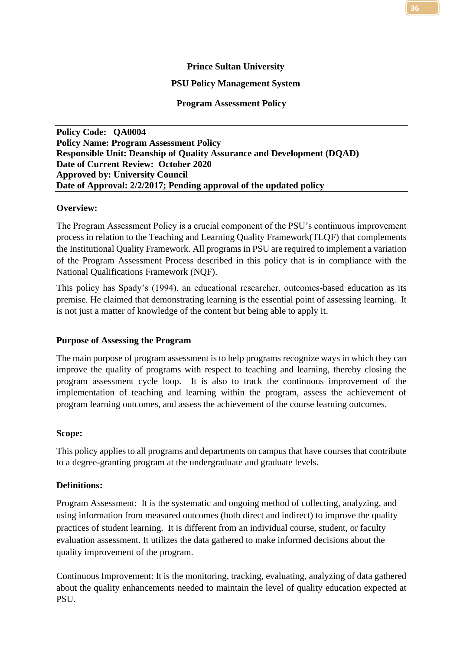#### **Prince Sultan University**

#### **PSU Policy Management System**

#### **Program Assessment Policy**

<span id="page-29-0"></span>**Policy Code: QA0004 Policy Name: Program Assessment Policy Responsible Unit: Deanship of Quality Assurance and Development (DQAD) Date of Current Review: October 2020 Approved by: University Council Date of Approval: 2/2/2017; Pending approval of the updated policy**

#### **Overview:**

The Program Assessment Policy is a crucial component of the PSU's continuous improvement process in relation to the Teaching and Learning Quality Framework(TLQF) that complements the Institutional Quality Framework. All programs in PSU are required to implement a variation of the Program Assessment Process described in this policy that is in compliance with the National Qualifications Framework (NQF).

This policy has Spady's (1994), an educational researcher, outcomes-based education as its premise. He claimed that demonstrating learning is the essential point of assessing learning. It is not just a matter of knowledge of the content but being able to apply it.

#### **Purpose of Assessing the Program**

The main purpose of program assessment is to help programs recognize ways in which they can improve the quality of programs with respect to teaching and learning, thereby closing the program assessment cycle loop. It is also to track the continuous improvement of the implementation of teaching and learning within the program, assess the achievement of program learning outcomes, and assess the achievement of the course learning outcomes.

#### **Scope:**

This policy applies to all programs and departments on campus that have courses that contribute to a degree-granting program at the undergraduate and graduate levels.

#### **Definitions:**

Program Assessment: It is the systematic and ongoing method of collecting, analyzing, and using information from measured outcomes (both direct and indirect) to improve the quality practices of student learning. It is different from an individual course, student, or faculty evaluation assessment. It utilizes the data gathered to make informed decisions about the quality improvement of the program.

Continuous Improvement: It is the monitoring, tracking, evaluating, analyzing of data gathered about the quality enhancements needed to maintain the level of quality education expected at PSU.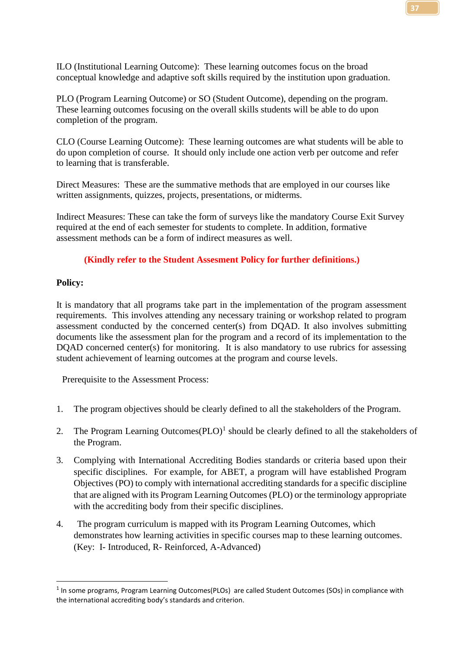ILO (Institutional Learning Outcome): These learning outcomes focus on the broad conceptual knowledge and adaptive soft skills required by the institution upon graduation.

PLO (Program Learning Outcome) or SO (Student Outcome), depending on the program. These learning outcomes focusing on the overall skills students will be able to do upon completion of the program.

CLO (Course Learning Outcome): These learning outcomes are what students will be able to do upon completion of course. It should only include one action verb per outcome and refer to learning that is transferable.

Direct Measures: These are the summative methods that are employed in our courses like written assignments, quizzes, projects, presentations, or midterms.

Indirect Measures: These can take the form of surveys like the mandatory Course Exit Survey required at the end of each semester for students to complete. In addition, formative assessment methods can be a form of indirect measures as well.

#### **(Kindly refer to the Student Assesment Policy for further definitions.)**

#### **Policy:**

It is mandatory that all programs take part in the implementation of the program assessment requirements. This involves attending any necessary training or workshop related to program assessment conducted by the concerned center(s) from DQAD. It also involves submitting documents like the assessment plan for the program and a record of its implementation to the DQAD concerned center(s) for monitoring. It is also mandatory to use rubrics for assessing student achievement of learning outcomes at the program and course levels.

Prerequisite to the Assessment Process:

- 1. The program objectives should be clearly defined to all the stakeholders of the Program.
- 2. The Program Learning Outcomes  $(PLO)^1$  should be clearly defined to all the stakeholders of the Program.
- 3. Complying with International Accrediting Bodies standards or criteria based upon their specific disciplines. For example, for ABET, a program will have established Program Objectives (PO) to comply with international accrediting standards for a specific discipline that are aligned with its Program Learning Outcomes (PLO) or the terminology appropriate with the accrediting body from their specific disciplines.
- 4. The program curriculum is mapped with its Program Learning Outcomes, which demonstrates how learning activities in specific courses map to these learning outcomes. (Key: I- Introduced, R- Reinforced, A-Advanced)

<sup>&</sup>lt;sup>1</sup> In some programs, Program Learning Outcomes(PLOs) are called Student Outcomes (SOs) in compliance with the international accrediting body's standards and criterion.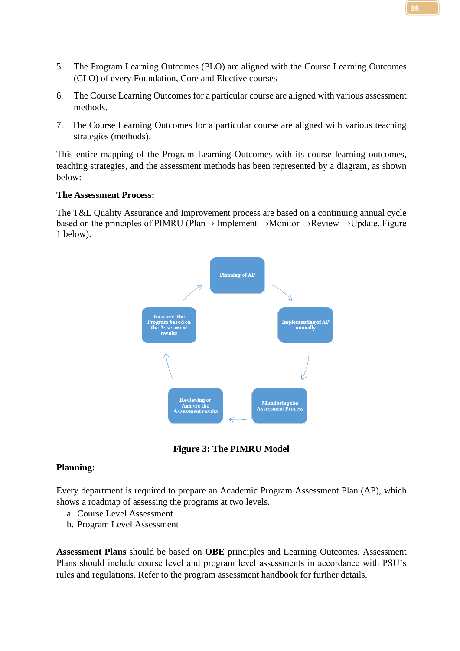- 5. The Program Learning Outcomes (PLO) are aligned with the Course Learning Outcomes (CLO) of every Foundation, Core and Elective courses
- 6. The Course Learning Outcomes for a particular course are aligned with various assessment methods.
- 7. The Course Learning Outcomes for a particular course are aligned with various teaching strategies (methods).

This entire mapping of the Program Learning Outcomes with its course learning outcomes, teaching strategies, and the assessment methods has been represented by a diagram, as shown below:

#### **The Assessment Process:**

The T&L Quality Assurance and Improvement process are based on a continuing annual cycle based on the principles of PIMRU (Plan→ Implement →Monitor →Review →Update, Figure 1 below).



**Figure 3: The PIMRU Model**

#### <span id="page-31-0"></span>**Planning:**

Every department is required to prepare an Academic Program Assessment Plan (AP), which shows a roadmap of assessing the programs at two levels.

- a. Course Level Assessment
- b. Program Level Assessment

**Assessment Plans** should be based on **OBE** principles and Learning Outcomes. Assessment Plans should include course level and program level assessments in accordance with PSU's rules and regulations. Refer to the program assessment handbook for further details.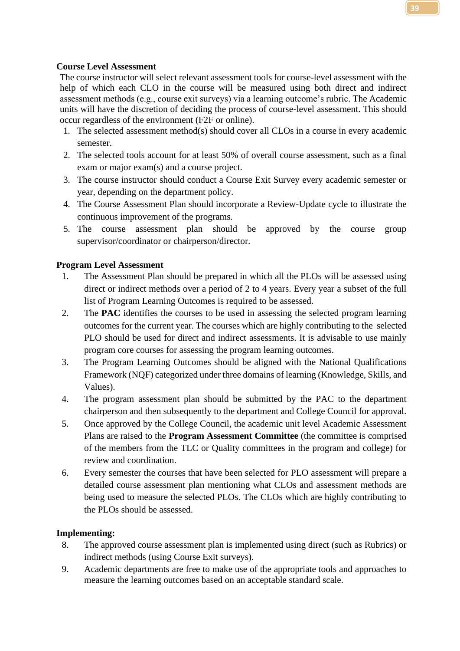#### **Course Level Assessment**

The course instructor will select relevant assessment tools for course-level assessment with the help of which each CLO in the course will be measured using both direct and indirect assessment methods (e.g., course exit surveys) via a learning outcome's rubric. The Academic units will have the discretion of deciding the process of course-level assessment. This should occur regardless of the environment (F2F or online).

- 1. The selected assessment method(s) should cover all CLOs in a course in every academic semester.
- 2. The selected tools account for at least 50% of overall course assessment, such as a final exam or major exam(s) and a course project.
- 3. The course instructor should conduct a Course Exit Survey every academic semester or year, depending on the department policy.
- 4. The Course Assessment Plan should incorporate a Review-Update cycle to illustrate the continuous improvement of the programs.
- 5. The course assessment plan should be approved by the course group supervisor/coordinator or chairperson/director.

#### **Program Level Assessment**

- 1. The Assessment Plan should be prepared in which all the PLOs will be assessed using direct or indirect methods over a period of 2 to 4 years. Every year a subset of the full list of Program Learning Outcomes is required to be assessed.
- 2. The **PAC** identifies the courses to be used in assessing the selected program learning outcomes for the current year. The courses which are highly contributing to the selected PLO should be used for direct and indirect assessments. It is advisable to use mainly program core courses for assessing the program learning outcomes.
- 3. The Program Learning Outcomes should be aligned with the National Qualifications Framework (NQF) categorized under three domains of learning (Knowledge, Skills, and Values).
- 4. The program assessment plan should be submitted by the PAC to the department chairperson and then subsequently to the department and College Council for approval.
- 5. Once approved by the College Council, the academic unit level Academic Assessment Plans are raised to the **Program Assessment Committee** (the committee is comprised of the members from the TLC or Quality committees in the program and college) for review and coordination.
- 6. Every semester the courses that have been selected for PLO assessment will prepare a detailed course assessment plan mentioning what CLOs and assessment methods are being used to measure the selected PLOs. The CLOs which are highly contributing to the PLOs should be assessed.

#### **Implementing:**

- 8. The approved course assessment plan is implemented using direct (such as Rubrics) or indirect methods (using Course Exit surveys).
- 9. Academic departments are free to make use of the appropriate tools and approaches to measure the learning outcomes based on an acceptable standard scale.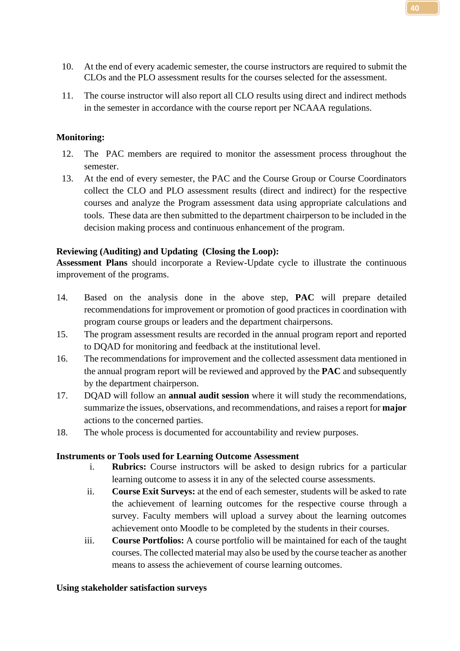- 10. At the end of every academic semester, the course instructors are required to submit the CLOs and the PLO assessment results for the courses selected for the assessment.
- 11. The course instructor will also report all CLO results using direct and indirect methods in the semester in accordance with the course report per NCAAA regulations.

#### **Monitoring:**

- 12. The PAC members are required to monitor the assessment process throughout the semester.
- 13. At the end of every semester, the PAC and the Course Group or Course Coordinators collect the CLO and PLO assessment results (direct and indirect) for the respective courses and analyze the Program assessment data using appropriate calculations and tools. These data are then submitted to the department chairperson to be included in the decision making process and continuous enhancement of the program.

#### **Reviewing (Auditing) and Updating (Closing the Loop):**

**Assessment Plans** should incorporate a Review-Update cycle to illustrate the continuous improvement of the programs.

- 14. Based on the analysis done in the above step, **PAC** will prepare detailed recommendations for improvement or promotion of good practices in coordination with program course groups or leaders and the department chairpersons.
- 15. The program assessment results are recorded in the annual program report and reported to DQAD for monitoring and feedback at the institutional level.
- 16. The recommendations for improvement and the collected assessment data mentioned in the annual program report will be reviewed and approved by the **PAC** and subsequently by the department chairperson.
- 17. DQAD will follow an **annual audit session** where it will study the recommendations, summarize the issues, observations, and recommendations, and raises a report for **major** actions to the concerned parties.
- 18. The whole process is documented for accountability and review purposes.

#### **Instruments or Tools used for Learning Outcome Assessment**

- i. **Rubrics:** Course instructors will be asked to design rubrics for a particular learning outcome to assess it in any of the selected course assessments.
- ii. **Course Exit Surveys:** at the end of each semester, students will be asked to rate the achievement of learning outcomes for the respective course through a survey. Faculty members will upload a survey about the learning outcomes achievement onto Moodle to be completed by the students in their courses.
- iii. **Course Portfolios:** A course portfolio will be maintained for each of the taught courses. The collected material may also be used by the course teacher as another means to assess the achievement of course learning outcomes.

#### **Using stakeholder satisfaction surveys**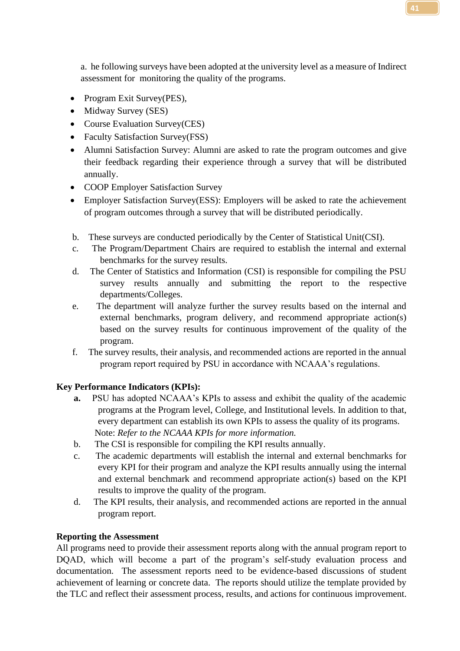a. he following surveys have been adopted at the university level as a measure of Indirect assessment for monitoring the quality of the programs.

- Program Exit Survey(PES),
- Midway Survey (SES)
- Course Evaluation Survey(CES)
- Faculty Satisfaction Survey(FSS)
- Alumni Satisfaction Survey: Alumni are asked to rate the program outcomes and give their feedback regarding their experience through a survey that will be distributed annually.
- COOP Employer Satisfaction Survey
- Employer Satisfaction Survey(ESS): Employers will be asked to rate the achievement of program outcomes through a survey that will be distributed periodically.
- b. These surveys are conducted periodically by the Center of Statistical Unit(CSI).
- c. The Program/Department Chairs are required to establish the internal and external benchmarks for the survey results.
- d. The Center of Statistics and Information (CSI) is responsible for compiling the PSU survey results annually and submitting the report to the respective departments/Colleges.
- e. The department will analyze further the survey results based on the internal and external benchmarks, program delivery, and recommend appropriate action(s) based on the survey results for continuous improvement of the quality of the program.
- f. The survey results, their analysis, and recommended actions are reported in the annual program report required by PSU in accordance with NCAAA's regulations.

#### **Key Performance Indicators (KPIs):**

- **a.** PSU has adopted NCAAA's KPIs to assess and exhibit the quality of the academic programs at the Program level, College, and Institutional levels. In addition to that, every department can establish its own KPIs to assess the quality of its programs. Note: *Refer to the NCAAA KPIs for more information.*
- b. The CSI is responsible for compiling the KPI results annually.
- c. The academic departments will establish the internal and external benchmarks for every KPI for their program and analyze the KPI results annually using the internal and external benchmark and recommend appropriate action(s) based on the KPI results to improve the quality of the program.
- d. The KPI results, their analysis, and recommended actions are reported in the annual program report.

#### **Reporting the Assessment**

All programs need to provide their assessment reports along with the annual program report to DQAD, which will become a part of the program's self-study evaluation process and documentation. The assessment reports need to be evidence-based discussions of student achievement of learning or concrete data. The reports should utilize the template provided by the TLC and reflect their assessment process, results, and actions for continuous improvement.

**41**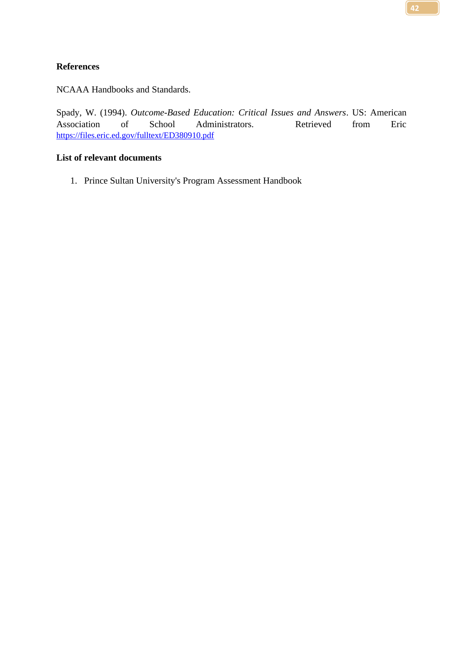NCAAA Handbooks and Standards.

Spady, W. (1994). *Outcome-Based Education: Critical Issues and Answers*. US: American Association of School Administrators. Retrieved from Eric <https://files.eric.ed.gov/fulltext/ED380910.pdf>

#### **List of relevant documents**

1. Prince Sultan University's Program Assessment Handbook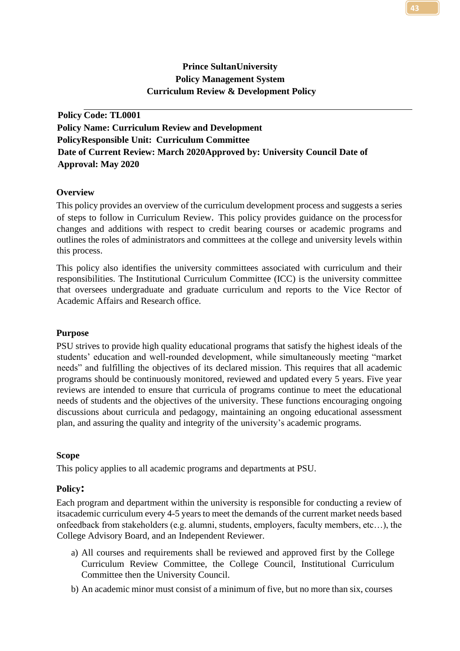## **Prince SultanUniversity Policy Management System Curriculum Review & Development Policy**

**Policy Code: TL0001 Policy Name: Curriculum Review and Development PolicyResponsible Unit: Curriculum Committee Date of Current Review: March 2020Approved by: University Council Date of Approval: May 2020**

## **Overview**

This policy provides an overview of the curriculum development process and suggests a series of steps to follow in Curriculum Review. This policy provides guidance on the processfor changes and additions with respect to credit bearing courses or academic programs and outlines the roles of administrators and committees at the college and university levels within this process.

This policy also identifies the university committees associated with curriculum and their responsibilities. The Institutional Curriculum Committee (ICC) is the university committee that oversees undergraduate and graduate curriculum and reports to the Vice Rector of Academic Affairs and Research office.

#### **Purpose**

PSU strives to provide high quality educational programs that satisfy the highest ideals of the students' education and well-rounded development, while simultaneously meeting "market needs" and fulfilling the objectives of its declared mission. This requires that all academic programs should be continuously monitored, reviewed and updated every 5 years. Five year reviews are intended to ensure that curricula of programs continue to meet the educational needs of students and the objectives of the university. These functions encouraging ongoing discussions about curricula and pedagogy, maintaining an ongoing educational assessment plan, and assuring the quality and integrity of the university's academic programs.

## **Scope**

This policy applies to all academic programs and departments at PSU.

#### **Policy:**

Each program and department within the university is responsible for conducting a review of itsacademic curriculum every 4-5 years to meet the demands of the current market needs based onfeedback from stakeholders (e.g. alumni, students, employers, faculty members, etc…), the College Advisory Board, and an Independent Reviewer.

- a) All courses and requirements shall be reviewed and approved first by the College Curriculum Review Committee, the College Council, Institutional Curriculum Committee then the University Council.
- b) An academic minor must consist of a minimum of five, but no more than six, courses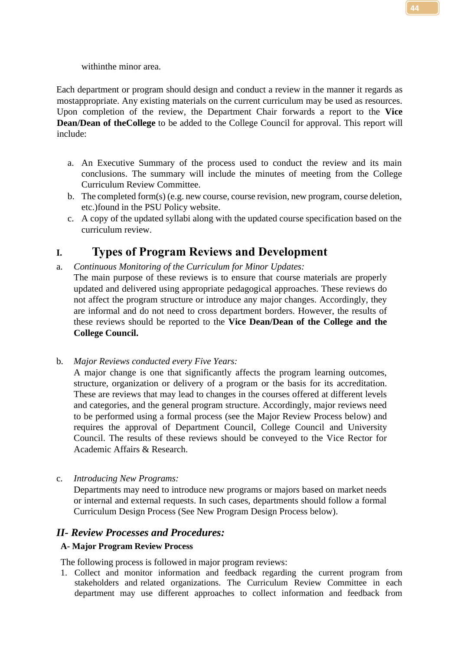withinthe minor area.

Each department or program should design and conduct a review in the manner it regards as mostappropriate. Any existing materials on the current curriculum may be used as resources. Upon completion of the review, the Department Chair forwards a report to the **Vice Dean/Dean of the College** to be added to the College Council for approval. This report will include:

- a. An Executive Summary of the process used to conduct the review and its main conclusions. The summary will include the minutes of meeting from the College Curriculum Review Committee.
- b. The completed form(s) (e.g. new course, course revision, new program, course deletion, etc.)found in the PSU Policy website.
- c. A copy of the updated syllabi along with the updated course specification based on the curriculum review.

# **I. Types of Program Reviews and Development**

- a. *Continuous Monitoring of the Curriculum for Minor Updates:*
	- The main purpose of these reviews is to ensure that course materials are properly updated and delivered using appropriate pedagogical approaches. These reviews do not affect the program structure or introduce any major changes. Accordingly, they are informal and do not need to cross department borders. However, the results of these reviews should be reported to the **Vice Dean/Dean of the College and the College Council.**
- b. *Major Reviews conducted every Five Years:*

A major change is one that significantly affects the program learning outcomes, structure, organization or delivery of a program or the basis for its accreditation. These are reviews that may lead to changes in the courses offered at different levels and categories, and the general program structure. Accordingly, major reviews need to be performed using a formal process (see the Major Review Process below) and requires the approval of Department Council, College Council and University Council. The results of these reviews should be conveyed to the Vice Rector for Academic Affairs & Research.

c. *Introducing New Programs:*

Departments may need to introduce new programs or majors based on market needs or internal and external requests. In such cases, departments should follow a formal Curriculum Design Process (See New Program Design Process below).

## *II- Review Processes and Procedures:*

## **A- Major Program Review Process**

The following process is followed in major program reviews:

1. Collect and monitor information and feedback regarding the current program from stakeholders and related organizations. The Curriculum Review Committee in each department may use different approaches to collect information and feedback from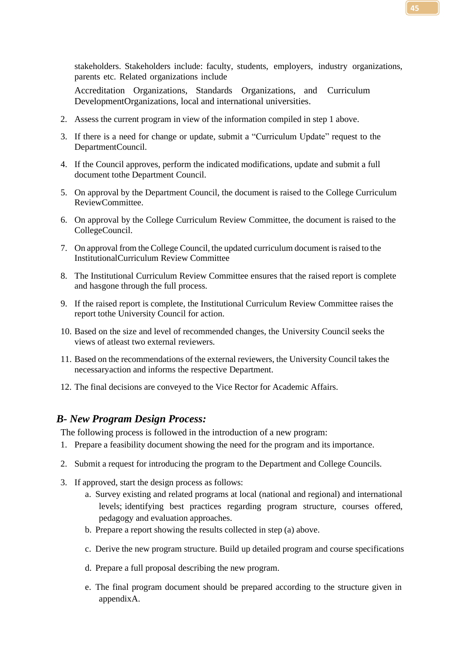stakeholders. Stakeholders include: faculty, students, employers, industry organizations, parents etc. Related organizations include

Accreditation Organizations, Standards Organizations, and Curriculum DevelopmentOrganizations, local and international universities.

- 2. Assess the current program in view of the information compiled in step 1 above.
- 3. If there is a need for change or update, submit a "Curriculum Update" request to the DepartmentCouncil.
- 4. If the Council approves, perform the indicated modifications, update and submit a full document tothe Department Council.
- 5. On approval by the Department Council, the document is raised to the College Curriculum ReviewCommittee.
- 6. On approval by the College Curriculum Review Committee, the document is raised to the CollegeCouncil.
- 7. On approval from the College Council, the updated curriculum document israised to the InstitutionalCurriculum Review Committee
- 8. The Institutional Curriculum Review Committee ensures that the raised report is complete and hasgone through the full process.
- 9. If the raised report is complete, the Institutional Curriculum Review Committee raises the report tothe University Council for action.
- 10. Based on the size and level of recommended changes, the University Council seeks the views of atleast two external reviewers.
- 11. Based on the recommendations of the external reviewers, the University Council takes the necessaryaction and informs the respective Department.
- 12. The final decisions are conveyed to the Vice Rector for Academic Affairs.

## *B- New Program Design Process:*

The following process is followed in the introduction of a new program:

- 1. Prepare a feasibility document showing the need for the program and its importance.
- 2. Submit a request for introducing the program to the Department and College Councils.
- 3. If approved, start the design process as follows:
	- a. Survey existing and related programs at local (national and regional) and international levels; identifying best practices regarding program structure, courses offered, pedagogy and evaluation approaches.
	- b. Prepare a report showing the results collected in step (a) above.
	- c. Derive the new program structure. Build up detailed program and course specifications
	- d. Prepare a full proposal describing the new program.
	- e. The final program document should be prepared according to the structure given in appendixA.

**45**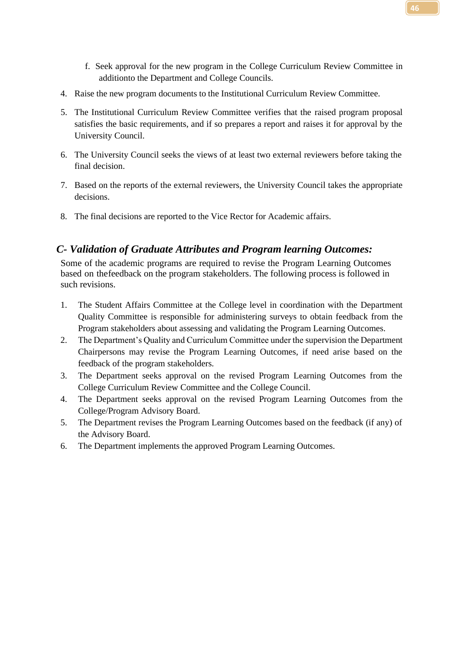- f. Seek approval for the new program in the College Curriculum Review Committee in additionto the Department and College Councils.
- 4. Raise the new program documents to the Institutional Curriculum Review Committee.
- 5. The Institutional Curriculum Review Committee verifies that the raised program proposal satisfies the basic requirements, and if so prepares a report and raises it for approval by the University Council.
- 6. The University Council seeks the views of at least two external reviewers before taking the final decision.
- 7. Based on the reports of the external reviewers, the University Council takes the appropriate decisions.
- 8. The final decisions are reported to the Vice Rector for Academic affairs.

## *C- Validation of Graduate Attributes and Program learning Outcomes:*

Some of the academic programs are required to revise the Program Learning Outcomes based on thefeedback on the program stakeholders. The following process is followed in such revisions.

- 1. The Student Affairs Committee at the College level in coordination with the Department Quality Committee is responsible for administering surveys to obtain feedback from the Program stakeholders about assessing and validating the Program Learning Outcomes.
- 2. The Department's Quality and Curriculum Committee under the supervision the Department Chairpersons may revise the Program Learning Outcomes, if need arise based on the feedback of the program stakeholders.
- 3. The Department seeks approval on the revised Program Learning Outcomes from the College Curriculum Review Committee and the College Council.
- 4. The Department seeks approval on the revised Program Learning Outcomes from the College/Program Advisory Board.
- 5. The Department revises the Program Learning Outcomes based on the feedback (if any) of the Advisory Board.
- 6. The Department implements the approved Program Learning Outcomes.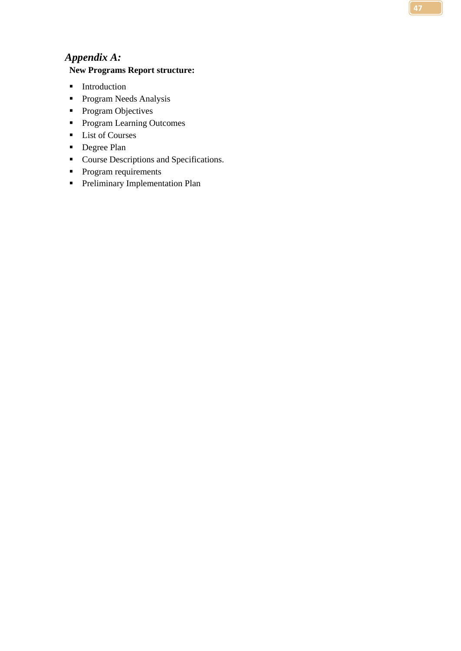# *Appendix A:*

## **New Programs Report structure:**

- **■** Introduction
- **•** Program Needs Analysis
- **•** Program Objectives
- Program Learning Outcomes
- List of Courses
- Degree Plan
- Course Descriptions and Specifications.
- **•** Program requirements
- **•** Preliminary Implementation Plan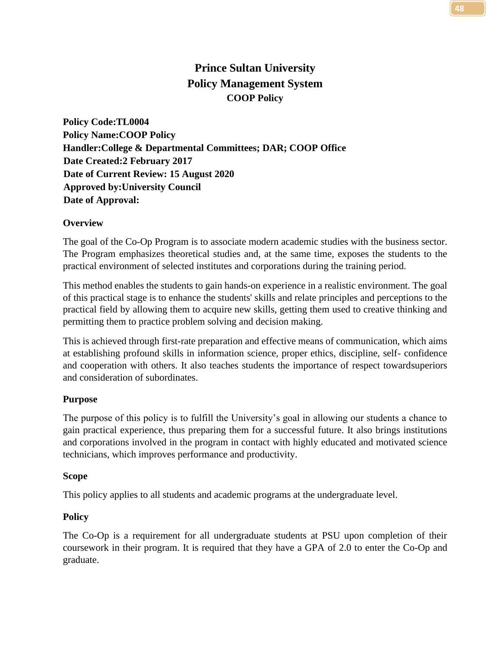# **Prince Sultan University Policy Management System COOP Policy**

**Policy Code:TL0004 Policy Name:COOP Policy Handler:College & Departmental Committees; DAR; COOP Office Date Created:2 February 2017 Date of Current Review: 15 August 2020 Approved by:University Council Date of Approval:**

## **Overview**

The goal of the Co-Op Program is to associate modern academic studies with the business sector. The Program emphasizes theoretical studies and, at the same time, exposes the students to the practical environment of selected institutes and corporations during the training period.

This method enables the students to gain hands-on experience in a realistic environment. The goal of this practical stage is to enhance the students' skills and relate principles and perceptions to the practical field by allowing them to acquire new skills, getting them used to creative thinking and permitting them to practice problem solving and decision making.

This is achieved through first-rate preparation and effective means of communication, which aims at establishing profound skills in information science, proper ethics, discipline, self- confidence and cooperation with others. It also teaches students the importance of respect towardsuperiors and consideration of subordinates.

## **Purpose**

The purpose of this policy is to fulfill the University's goal in allowing our students a chance to gain practical experience, thus preparing them for a successful future. It also brings institutions and corporations involved in the program in contact with highly educated and motivated science technicians, which improves performance and productivity.

## **Scope**

This policy applies to all students and academic programs at the undergraduate level.

## **Policy**

The Co-Op is a requirement for all undergraduate students at PSU upon completion of their coursework in their program. It is required that they have a GPA of 2.0 to enter the Co-Op and graduate.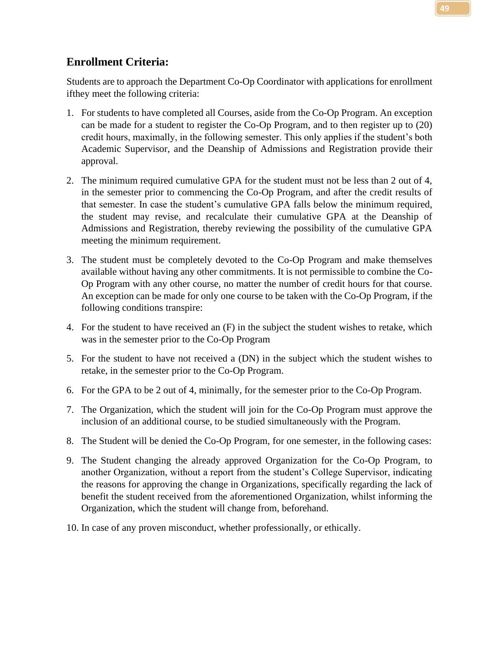Students are to approach the Department Co-Op Coordinator with applications for enrollment ifthey meet the following criteria:

- 1. For students to have completed all Courses, aside from the Co-Op Program. An exception can be made for a student to register the Co-Op Program, and to then register up to (20) credit hours, maximally, in the following semester. This only applies if the student's both Academic Supervisor, and the Deanship of Admissions and Registration provide their approval.
- 2. The minimum required cumulative GPA for the student must not be less than 2 out of 4, in the semester prior to commencing the Co-Op Program, and after the credit results of that semester. In case the student's cumulative GPA falls below the minimum required, the student may revise, and recalculate their cumulative GPA at the Deanship of Admissions and Registration, thereby reviewing the possibility of the cumulative GPA meeting the minimum requirement.
- 3. The student must be completely devoted to the Co-Op Program and make themselves available without having any other commitments. It is not permissible to combine the Co-Op Program with any other course, no matter the number of credit hours for that course. An exception can be made for only one course to be taken with the Co-Op Program, if the following conditions transpire:
- 4. For the student to have received an (F) in the subject the student wishes to retake, which was in the semester prior to the Co-Op Program
- 5. For the student to have not received a (DN) in the subject which the student wishes to retake, in the semester prior to the Co-Op Program.
- 6. For the GPA to be 2 out of 4, minimally, for the semester prior to the Co-Op Program.
- 7. The Organization, which the student will join for the Co-Op Program must approve the inclusion of an additional course, to be studied simultaneously with the Program.
- 8. The Student will be denied the Co-Op Program, for one semester, in the following cases:
- 9. The Student changing the already approved Organization for the Co-Op Program, to another Organization, without a report from the student's College Supervisor, indicating the reasons for approving the change in Organizations, specifically regarding the lack of benefit the student received from the aforementioned Organization, whilst informing the Organization, which the student will change from, beforehand.
- 10. In case of any proven misconduct, whether professionally, or ethically.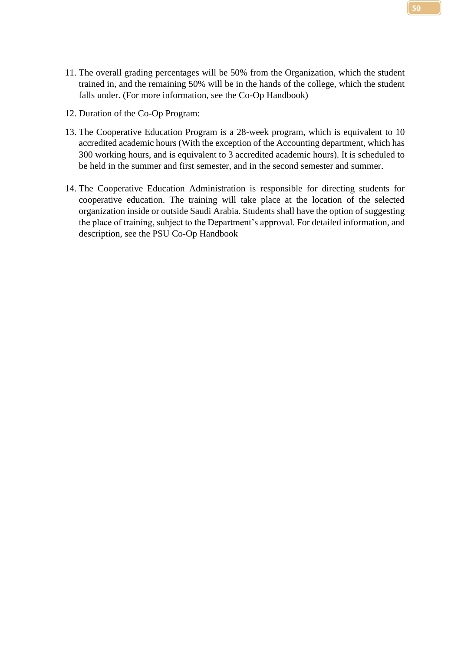- 11. The overall grading percentages will be 50% from the Organization, which the student trained in, and the remaining 50% will be in the hands of the college, which the student falls under. (For more information, see the Co-Op Handbook)
- 12. Duration of the Co-Op Program:
- 13. The Cooperative Education Program is a 28-week program, which is equivalent to 10 accredited academic hours (With the exception of the Accounting department, which has 300 working hours, and is equivalent to 3 accredited academic hours). It is scheduled to be held in the summer and first semester, and in the second semester and summer.
- 14. The Cooperative Education Administration is responsible for directing students for cooperative education. The training will take place at the location of the selected organization inside or outside Saudi Arabia. Students shall have the option of suggesting the place of training, subject to the Department's approval. For detailed information, and description, see the PSU Co-Op Handbook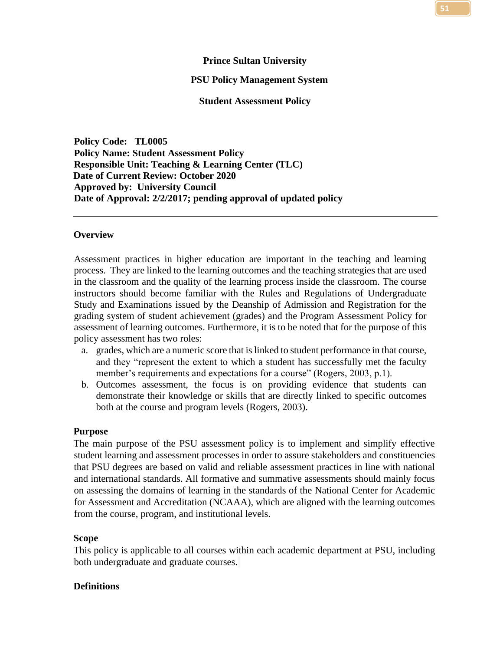## **Prince Sultan University**

#### **PSU Policy Management System**

**Student Assessment Policy**

**Policy Code: TL0005 Policy Name: Student Assessment Policy Responsible Unit: Teaching & Learning Center (TLC) Date of Current Review: October 2020 Approved by: University Council Date of Approval: 2/2/2017; pending approval of updated policy**

#### **Overview**

Assessment practices in higher education are important in the teaching and learning process. They are linked to the learning outcomes and the teaching strategies that are used in the classroom and the quality of the learning process inside the classroom. The course instructors should become familiar with the Rules and Regulations of Undergraduate Study and Examinations issued by the Deanship of Admission and Registration for the grading system of student achievement (grades) and the Program Assessment Policy for assessment of learning outcomes. Furthermore, it is to be noted that for the purpose of this policy assessment has two roles:

- a. grades, which are a numeric score that is linked to student performance in that course, and they "represent the extent to which a student has successfully met the faculty member's requirements and expectations for a course" (Rogers, 2003, p.1).
- b. Outcomes assessment, the focus is on providing evidence that students can demonstrate their knowledge or skills that are directly linked to specific outcomes both at the course and program levels (Rogers, 2003).

#### **Purpose**

The main purpose of the PSU assessment policy is to implement and simplify effective student learning and assessment processes in order to assure stakeholders and constituencies that PSU degrees are based on valid and reliable assessment practices in line with national and international standards. All formative and summative assessments should mainly focus on assessing the domains of learning in the standards of the National Center for Academic for Assessment and Accreditation (NCAAA), which are aligned with the learning outcomes from the course, program, and institutional levels.

#### **Scope**

This policy is applicable to all courses within each academic department at PSU, including both undergraduate and graduate courses.

#### **Definitions**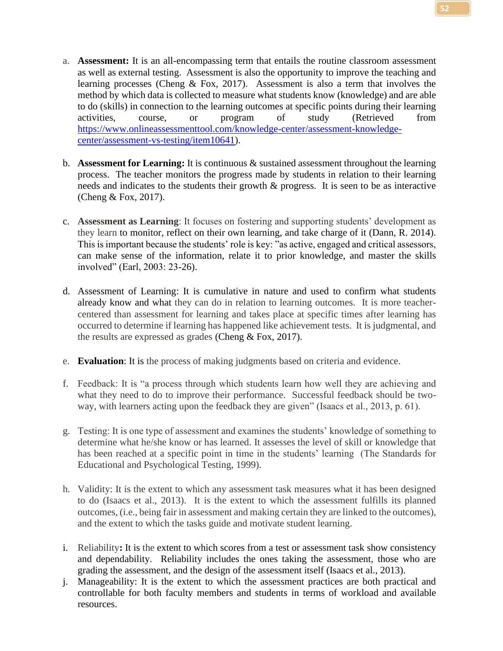- a. **Assessment:** It is an all-encompassing term that entails the routine classroom assessment as well as external testing. Assessment is also the opportunity to improve the teaching and learning processes (Cheng & Fox, 2017). Assessment is also a term that involves the method by which data is collected to measure what students know (knowledge) and are able to do (skills) in connection to the learning outcomes at specific points during their learning activities, course, or program of study (Retrieved from [https://www.onlineassessmenttool.com/knowledge-center/assessment-knowledge](https://www.onlineassessmenttool.com/knowledge-center/assessment-knowledge-center/assessment-vs-testing/item10641)[center/assessment-vs-testing/item10641\)](https://www.onlineassessmenttool.com/knowledge-center/assessment-knowledge-center/assessment-vs-testing/item10641).
- b. **Assessment for Learning:** It is continuous & sustained assessment throughout the learning process. The teacher monitors the progress made by students in relation to their learning needs and indicates to the students their growth & progress. It is seen to be as interactive (Cheng & Fox, 2017).
- c. **Assessment as Learning**: It focuses on fostering and supporting students' development as they learn to monitor, reflect on their own learning, and take charge of it (Dann, R. 2014). This is important because the students' role is key: "as active, engaged and critical assessors, can make sense of the information, relate it to prior knowledge, and master the skills involved" (Earl, 2003: 23-26).
- d. Assessment of Learning: It is cumulative in nature and used to confirm what students already know and what they can do in relation to learning outcomes. It is more teachercentered than assessment for learning and takes place at specific times after learning has occurred to determine if learning has happened like achievement tests. It is judgmental, and the results are expressed as grades (Cheng & Fox, 2017).
- e. **Evaluation**: It is the process of making judgments based on criteria and evidence.
- f. Feedback: It is "a process through which students learn how well they are achieving and what they need to do to improve their performance. Successful feedback should be twoway, with learners acting upon the feedback they are given" (Isaacs et al., 2013, p. 61).
- g. Testing: It is one type of assessment and examines the students' knowledge of something to determine what he/she know or has learned. It assesses the level of skill or knowledge that has been reached at a specific point in time in the students' learning (The Standards for Educational and Psychological Testing, 1999).
- h. Validity: It is the extent to which any assessment task measures what it has been designed to do (Isaacs et al., 2013). It is the extent to which the assessment fulfills its planned outcomes, (i.e., being fair in assessment and making certain they are linked to the outcomes), and the extent to which the tasks guide and motivate student learning.
- i. Reliability**:** It is the extent to which scores from a test or assessment task show consistency and dependability. Reliability includes the ones taking the assessment, those who are grading the assessment, and the design of the assessment itself (Isaacs et al., 2013).
- j. Manageability: It is the extent to which the assessment practices are both practical and controllable for both faculty members and students in terms of workload and available resources.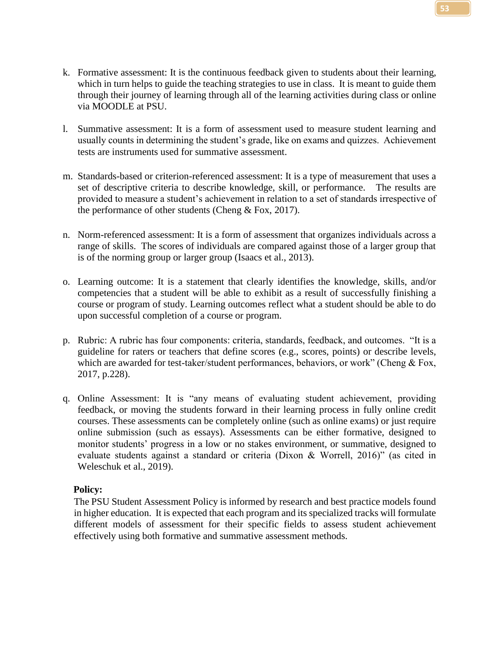- k. Formative assessment: It is the continuous feedback given to students about their learning, which in turn helps to guide the teaching strategies to use in class. It is meant to guide them through their journey of learning through all of the learning activities during class or online via MOODLE at PSU.
- l. Summative assessment: It is a form of assessment used to measure student learning and usually counts in determining the student's grade, like on exams and quizzes. Achievement tests are instruments used for summative assessment.
- m. Standards-based or criterion-referenced assessment: It is a type of measurement that uses a set of descriptive criteria to describe knowledge, skill, or performance. The results are provided to measure a student's achievement in relation to a set of standards irrespective of the performance of other students (Cheng & Fox, 2017).
- n. Norm-referenced assessment: It is a form of assessment that organizes individuals across a range of skills. The scores of individuals are compared against those of a larger group that is of the norming group or larger group (Isaacs et al., 2013).
- o. Learning outcome: It is a statement that clearly identifies the knowledge, skills, and/or competencies that a student will be able to exhibit as a result of successfully finishing a course or program of study. Learning outcomes reflect what a student should be able to do upon successful completion of a course or program.
- p. Rubric: A rubric has four components: criteria, standards, feedback, and outcomes. "It is a guideline for raters or teachers that define scores (e.g., scores, points) or describe levels, which are awarded for test-taker/student performances, behaviors, or work" (Cheng & Fox, 2017, p.228).
- q. Online Assessment: It is "any means of evaluating student achievement, providing feedback, or moving the students forward in their learning process in fully online credit courses. These assessments can be completely online (such as online exams) or just require online submission (such as essays). Assessments can be either formative, designed to monitor students' progress in a low or no stakes environment, or summative, designed to evaluate students against a standard or criteria (Dixon & Worrell, 2016)" (as cited in Weleschuk et al., 2019).

## **Policy:**

The PSU Student Assessment Policy is informed by research and best practice models found in higher education. It is expected that each program and its specialized tracks will formulate different models of assessment for their specific fields to assess student achievement effectively using both formative and summative assessment methods.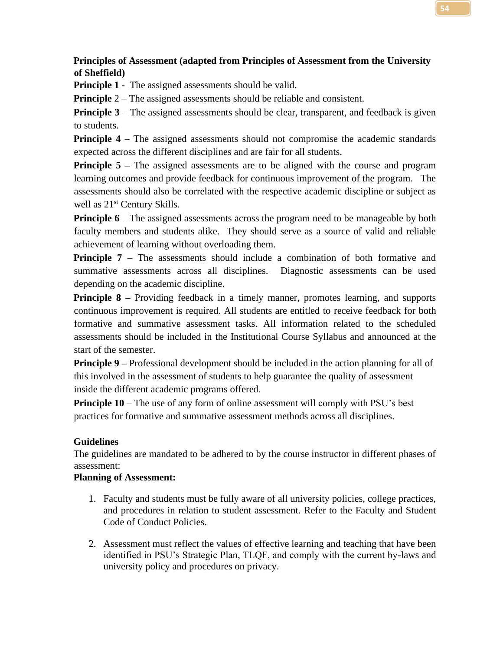## **Principles of Assessment (adapted from Principles of Assessment from the University of Sheffield)**

**Principle 1** - The assigned assessments should be valid.

**Principle** 2 – The assigned assessments should be reliable and consistent.

**Principle 3** – The assigned assessments should be clear, transparent, and feedback is given to students.

**Principle 4** – The assigned assessments should not compromise the academic standards expected across the different disciplines and are fair for all students.

**Principle 5** – The assigned assessments are to be aligned with the course and program learning outcomes and provide feedback for continuous improvement of the program. The assessments should also be correlated with the respective academic discipline or subject as well as  $21^{st}$  Century Skills.

**Principle 6** – The assigned assessments across the program need to be manageable by both faculty members and students alike. They should serve as a source of valid and reliable achievement of learning without overloading them.

**Principle 7** – The assessments should include a combination of both formative and summative assessments across all disciplines. Diagnostic assessments can be used depending on the academic discipline.

**Principle 8** – Providing feedback in a timely manner, promotes learning, and supports continuous improvement is required. All students are entitled to receive feedback for both formative and summative assessment tasks. All information related to the scheduled assessments should be included in the Institutional Course Syllabus and announced at the start of the semester.

**Principle 9** – Professional development should be included in the action planning for all of this involved in the assessment of students to help guarantee the quality of assessment inside the different academic programs offered.

**Principle 10** – The use of any form of online assessment will comply with PSU's best practices for formative and summative assessment methods across all disciplines.

## **Guidelines**

The guidelines are mandated to be adhered to by the course instructor in different phases of assessment:

## **Planning of Assessment:**

- 1. Faculty and students must be fully aware of all university policies, college practices, and procedures in relation to student assessment. Refer to the Faculty and Student Code of Conduct Policies.
- 2. Assessment must reflect the values of effective learning and teaching that have been identified in PSU's Strategic Plan, TLQF, and comply with the current by-laws and university policy and procedures on privacy.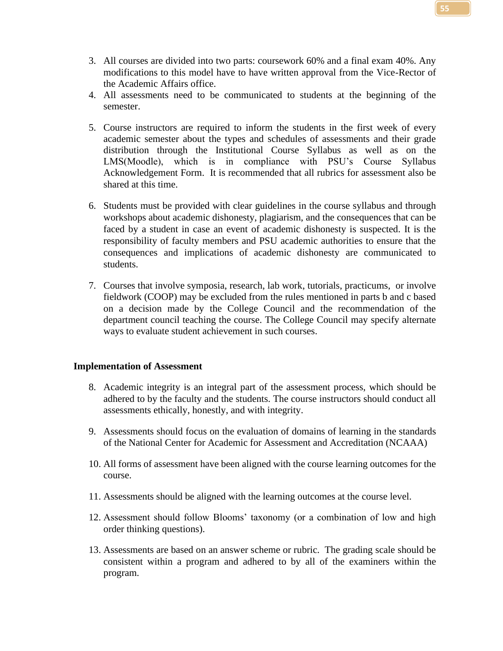- 3. All courses are divided into two parts: coursework 60% and a final exam 40%. Any modifications to this model have to have written approval from the Vice-Rector of the Academic Affairs office.
- 4. All assessments need to be communicated to students at the beginning of the semester.
- 5. Course instructors are required to inform the students in the first week of every academic semester about the types and schedules of assessments and their grade distribution through the Institutional Course Syllabus as well as on the LMS(Moodle), which is in compliance with PSU's Course Syllabus Acknowledgement Form. It is recommended that all rubrics for assessment also be shared at this time.
- 6. Students must be provided with clear guidelines in the course syllabus and through workshops about academic dishonesty, plagiarism, and the consequences that can be faced by a student in case an event of academic dishonesty is suspected. It is the responsibility of faculty members and PSU academic authorities to ensure that the consequences and implications of academic dishonesty are communicated to students.
- 7. Courses that involve symposia, research, lab work, tutorials, practicums, or involve fieldwork (COOP) may be excluded from the rules mentioned in parts b and c based on a decision made by the College Council and the recommendation of the department council teaching the course. The College Council may specify alternate ways to evaluate student achievement in such courses.

#### **Implementation of Assessment**

- 8. Academic integrity is an integral part of the assessment process, which should be adhered to by the faculty and the students. The course instructors should conduct all assessments ethically, honestly, and with integrity.
- 9. Assessments should focus on the evaluation of domains of learning in the standards of the National Center for Academic for Assessment and Accreditation (NCAAA)
- 10. All forms of assessment have been aligned with the course learning outcomes for the course.
- 11. Assessments should be aligned with the learning outcomes at the course level.
- 12. Assessment should follow Blooms' taxonomy (or a combination of low and high order thinking questions).
- 13. Assessments are based on an answer scheme or rubric. The grading scale should be consistent within a program and adhered to by all of the examiners within the program.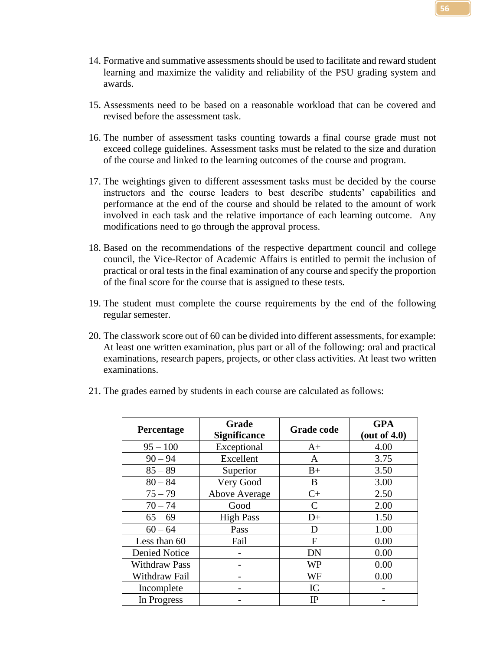- 14. Formative and summative assessments should be used to facilitate and reward student learning and maximize the validity and reliability of the PSU grading system and awards.
- 15. Assessments need to be based on a reasonable workload that can be covered and revised before the assessment task.
- 16. The number of assessment tasks counting towards a final course grade must not exceed college guidelines. Assessment tasks must be related to the size and duration of the course and linked to the learning outcomes of the course and program.
- 17. The weightings given to different assessment tasks must be decided by the course instructors and the course leaders to best describe students' capabilities and performance at the end of the course and should be related to the amount of work involved in each task and the relative importance of each learning outcome. Any modifications need to go through the approval process.
- 18. Based on the recommendations of the respective department council and college council, the Vice-Rector of Academic Affairs is entitled to permit the inclusion of practical or oral tests in the final examination of any course and specify the proportion of the final score for the course that is assigned to these tests.
- 19. The student must complete the course requirements by the end of the following regular semester.
- 20. The classwork score out of 60 can be divided into different assessments, for example: At least one written examination, plus part or all of the following: oral and practical examinations, research papers, projects, or other class activities. At least two written examinations.

|  |  |  |  |  |  |  |  |  | 21. The grades earned by students in each course are calculated as follows: |
|--|--|--|--|--|--|--|--|--|-----------------------------------------------------------------------------|
|--|--|--|--|--|--|--|--|--|-----------------------------------------------------------------------------|

| Percentage           | Grade                | <b>Grade code</b> | <b>GPA</b>      |
|----------------------|----------------------|-------------------|-----------------|
|                      | <b>Significance</b>  |                   | (out of $4.0$ ) |
| $95 - 100$           | Exceptional          | $A+$              | 4.00            |
| $90 - 94$            | Excellent            | A                 | 3.75            |
| $85 - 89$            | Superior             | $B+$              | 3.50            |
| $80 - 84$            | Very Good            | B                 | 3.00            |
| $75 - 79$            | <b>Above Average</b> | $C+$              | 2.50            |
| $70 - 74$            | Good                 | C                 | 2.00            |
| $65 - 69$            | <b>High Pass</b>     | $D+$              | 1.50            |
| $60 - 64$            | Pass                 | D                 | 1.00            |
| Less than 60         | Fail                 | F                 | 0.00            |
| <b>Denied Notice</b> |                      | DN                | 0.00            |
| <b>Withdraw Pass</b> |                      | <b>WP</b>         | 0.00            |
| Withdraw Fail        |                      | WF                | 0.00            |
| Incomplete           |                      | IC                |                 |
| In Progress          |                      | IP                |                 |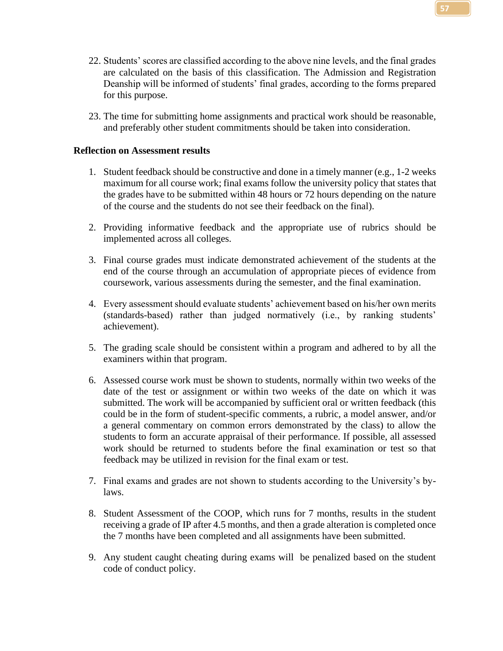- 
- 22. Students' scores are classified according to the above nine levels, and the final grades are calculated on the basis of this classification. The Admission and Registration Deanship will be informed of students' final grades, according to the forms prepared for this purpose.
- 23. The time for submitting home assignments and practical work should be reasonable, and preferably other student commitments should be taken into consideration.

## **Reflection on Assessment results**

- 1. Student feedback should be constructive and done in a timely manner (e.g., 1-2 weeks maximum for all course work; final exams follow the university policy that states that the grades have to be submitted within 48 hours or 72 hours depending on the nature of the course and the students do not see their feedback on the final).
- 2. Providing informative feedback and the appropriate use of rubrics should be implemented across all colleges.
- 3. Final course grades must indicate demonstrated achievement of the students at the end of the course through an accumulation of appropriate pieces of evidence from coursework, various assessments during the semester, and the final examination.
- 4. Every assessment should evaluate students' achievement based on his/her own merits (standards-based) rather than judged normatively (i.e., by ranking students' achievement).
- 5. The grading scale should be consistent within a program and adhered to by all the examiners within that program.
- 6. Assessed course work must be shown to students, normally within two weeks of the date of the test or assignment or within two weeks of the date on which it was submitted. The work will be accompanied by sufficient oral or written feedback (this could be in the form of student-specific comments, a rubric, a model answer, and/or a general commentary on common errors demonstrated by the class) to allow the students to form an accurate appraisal of their performance. If possible, all assessed work should be returned to students before the final examination or test so that feedback may be utilized in revision for the final exam or test.
- 7. Final exams and grades are not shown to students according to the University's bylaws.
- 8. Student Assessment of the COOP, which runs for 7 months, results in the student receiving a grade of IP after 4.5 months, and then a grade alteration is completed once the 7 months have been completed and all assignments have been submitted.
- 9. Any student caught cheating during exams will be penalized based on the student code of conduct policy.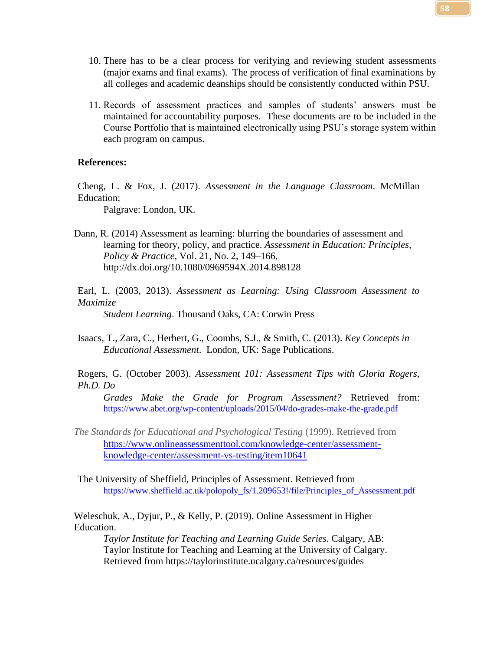- 10. There has to be a clear process for verifying and reviewing student assessments (major exams and final exams). The process of verification of final examinations by all colleges and academic deanships should be consistently conducted within PSU.
- 11. Records of assessment practices and samples of students' answers must be maintained for accountability purposes. These documents are to be included in the Course Portfolio that is maintained electronically using PSU's storage system within each program on campus.

#### **References:**

Cheng, L. & Fox, J. (2017). *Assessment in the Language Classroom*. McMillan Education;

Palgrave: London, UK.

- Dann, R. (2014) Assessment as learning: blurring the boundaries of assessment and learning for theory, policy, and practice. *Assessment in Education: Principles, Policy & Practice*, Vol. 21, No. 2, 149–166, http://dx.doi.org/10.1080/0969594X.2014.898128
- Earl, L. (2003, 2013). *Assessment as Learning: Using Classroom Assessment to Maximize*

*Student Learning*. Thousand Oaks, CA: Corwin Press

Isaacs, T., Zara, C., Herbert, G., Coombs, S.J., & Smith, C. (2013). *Key Concepts in Educational Assessment*. London, UK: Sage Publications.

Rogers, G. (October 2003). *Assessment 101: Assessment Tips with Gloria Rogers, Ph.D. Do* 

*Grades Make the Grade for Program Assessment?* Retrieved from: <https://www.abet.org/wp-content/uploads/2015/04/do-grades-make-the-grade.pdf>

*The Standards for Educational and Psychological Testing* (1999). Retrieved from [https://www.onlineassessmenttool.com/knowledge-center/assessment](https://www.onlineassessmenttool.com/knowledge-center/assessment-knowledge-center/assessment-vs-testing/item10641)[knowledge-center/assessment-vs-testing/item10641](https://www.onlineassessmenttool.com/knowledge-center/assessment-knowledge-center/assessment-vs-testing/item10641)

The University of Sheffield, Principles of Assessment. Retrieved from https://www.sheffield.ac.uk/polopoly fs/1.209653!/file/Principles of Assessment.pdf

Weleschuk, A., Dyjur, P., & Kelly, P. (2019). Online Assessment in Higher Education.

*Taylor Institute for Teaching and Learning Guide Series.* Calgary, AB: Taylor Institute for Teaching and Learning at the University of Calgary. Retrieved from https://taylorinstitute.ucalgary.ca/resources/guides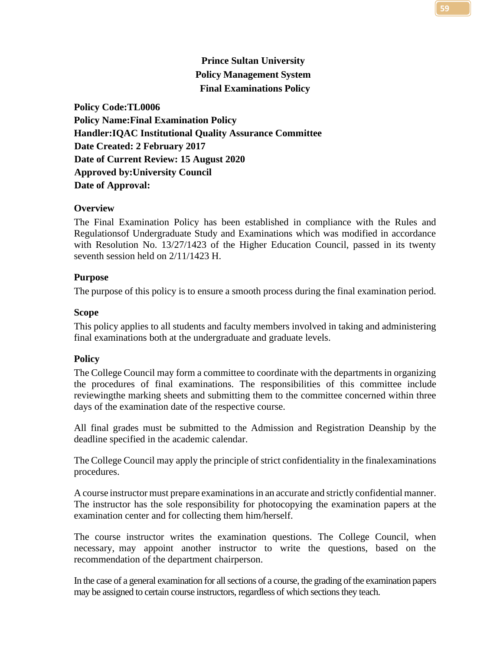## **Prince Sultan University Policy Management System Final Examinations Policy**

**Policy Code:TL0006 Policy Name:Final Examination Policy Handler:IQAC Institutional Quality Assurance Committee Date Created: 2 February 2017 Date of Current Review: 15 August 2020 Approved by:University Council Date of Approval:**

## **Overview**

The Final Examination Policy has been established in compliance with the Rules and Regulationsof Undergraduate Study and Examinations which was modified in accordance with Resolution No. 13/27/1423 of the Higher Education Council, passed in its twenty seventh session held on 2/11/1423 H.

## **Purpose**

The purpose of this policy is to ensure a smooth process during the final examination period.

## **Scope**

This policy applies to all students and faculty members involved in taking and administering final examinations both at the undergraduate and graduate levels.

## **Policy**

The College Council may form a committee to coordinate with the departments in organizing the procedures of final examinations. The responsibilities of this committee include reviewingthe marking sheets and submitting them to the committee concerned within three days of the examination date of the respective course.

All final grades must be submitted to the Admission and Registration Deanship by the deadline specified in the academic calendar.

The College Council may apply the principle of strict confidentiality in the finalexaminations procedures.

A course instructor must prepare examinationsin an accurate and strictly confidential manner. The instructor has the sole responsibility for photocopying the examination papers at the examination center and for collecting them him/herself.

The course instructor writes the examination questions. The College Council, when necessary, may appoint another instructor to write the questions, based on the recommendation of the department chairperson.

In the case of a general examination for all sections of a course, the grading of the examination papers may be assigned to certain course instructors, regardless of which sections they teach.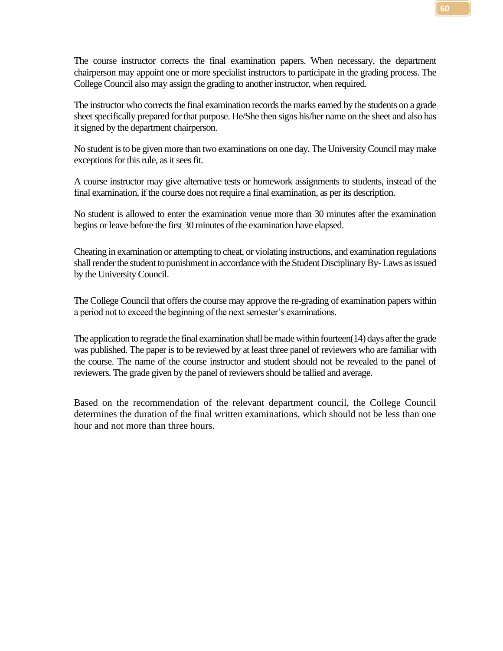The course instructor corrects the final examination papers. When necessary, the department chairperson may appoint one or more specialist instructors to participate in the grading process. The College Council also may assign the grading to another instructor, when required.

The instructor who corrects the final examination records the marks earned by the students on a grade sheet specifically prepared for that purpose. He/She then signs his/her name on the sheet and also has it signed by the department chairperson.

No student is to be given more than two examinations on one day. The University Council may make exceptions for this rule, as it sees fit.

A course instructor may give alternative tests or homework assignments to students, instead of the final examination, if the course does not require a final examination, as per its description.

No student is allowed to enter the examination venue more than 30 minutes after the examination begins or leave before the first 30 minutes of the examination have elapsed.

Cheating in examination or attempting to cheat, or violating instructions, and examination regulations shall render the student to punishment in accordance with the Student Disciplinary By-Laws as issued by the University Council.

The College Council that offers the course may approve the re-grading of examination papers within a period not to exceed the beginning of the next semester's examinations.

The application to regrade the final examination shall be made within fourteen(14) days after the grade was published. The paper is to be reviewed by at least three panel of reviewers who are familiar with the course. The name of the course instructor and student should not be revealed to the panel of reviewers. The grade given by the panel of reviewers should be tallied and average.

Based on the recommendation of the relevant department council, the College Council determines the duration of the final written examinations, which should not be less than one hour and not more than three hours.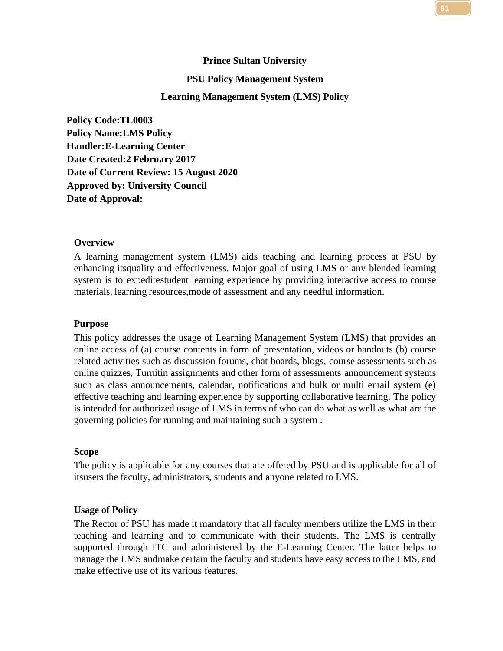# **Prince Sultan University PSU Policy Management System Learning Management System (LMS) Policy**

**Policy Code:TL0003 Policy Name:LMS Policy Handler:E-Learning Center Date Created:2 February 2017 Date of Current Review: 15 August 2020 Approved by: University Council Date of Approval:**

#### **Overview**

A learning management system (LMS) aids teaching and learning process at PSU by enhancing itsquality and effectiveness. Major goal of using LMS or any blended learning system is to expeditestudent learning experience by providing interactive access to course materials, learning resources,mode of assessment and any needful information.

#### **Purpose**

This policy addresses the usage of Learning Management System (LMS) that provides an online access of (a) course contents in form of presentation, videos or handouts (b) course related activities such as discussion forums, chat boards, blogs, course assessments such as online quizzes, Turnitin assignments and other form of assessments announcement systems such as class announcements, calendar, notifications and bulk or multi email system (e) effective teaching and learning experience by supporting collaborative learning. The policy is intended for authorized usage of LMS in terms of who can do what as well as what are the governing policies for running and maintaining such a system .

#### **Scope**

The policy is applicable for any courses that are offered by PSU and is applicable for all of itsusers the faculty, administrators, students and anyone related to LMS.

#### **Usage of Policy**

The Rector of PSU has made it mandatory that all faculty members utilize the LMS in their teaching and learning and to communicate with their students. The LMS is centrally supported through ITC and administered by the E-Learning Center. The latter helps to manage the LMS andmake certain the faculty and students have easy access to the LMS, and make effective use of its various features.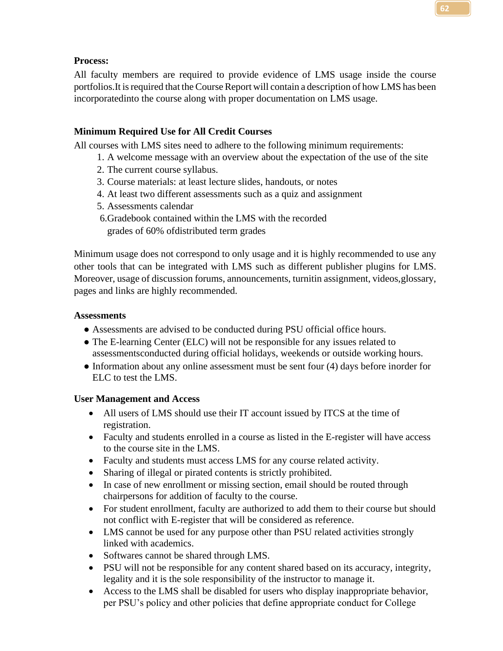## **Process:**

All faculty members are required to provide evidence of LMS usage inside the course portfolios. It is required that the Course Report will contain a description of how LMS has been incorporatedinto the course along with proper documentation on LMS usage.

## **Minimum Required Use for All Credit Courses**

All courses with LMS sites need to adhere to the following minimum requirements:

- 1. A welcome message with an overview about the expectation of the use of the site
- 2. The current course syllabus.
- 3. Course materials: at least lecture slides, handouts, or notes
- 4. At least two different assessments such as a quiz and assignment
- 5. Assessments calendar
- 6.Gradebook contained within the LMS with the recorded grades of 60% ofdistributed term grades

Minimum usage does not correspond to only usage and it is highly recommended to use any other tools that can be integrated with LMS such as different publisher plugins for LMS. Moreover, usage of discussion forums, announcements, turnitin assignment, videos,glossary, pages and links are highly recommended.

## **Assessments**

- Assessments are advised to be conducted during PSU official office hours.
- The E-learning Center (ELC) will not be responsible for any issues related to assessmentsconducted during official holidays, weekends or outside working hours.
- Information about any online assessment must be sent four (4) days before inorder for ELC to test the LMS.

## **User Management and Access**

- All users of LMS should use their IT account issued by ITCS at the time of registration.
- Faculty and students enrolled in a course as listed in the E-register will have access to the course site in the LMS.
- Faculty and students must access LMS for any course related activity.
- Sharing of illegal or pirated contents is strictly prohibited.
- In case of new enrollment or missing section, email should be routed through chairpersons for addition of faculty to the course.
- For student enrollment, faculty are authorized to add them to their course but should not conflict with E-register that will be considered as reference.
- LMS cannot be used for any purpose other than PSU related activities strongly linked with academics.
- Softwares cannot be shared through LMS.
- PSU will not be responsible for any content shared based on its accuracy, integrity, legality and it is the sole responsibility of the instructor to manage it.
- Access to the LMS shall be disabled for users who display inappropriate behavior, per PSU's policy and other policies that define appropriate conduct for College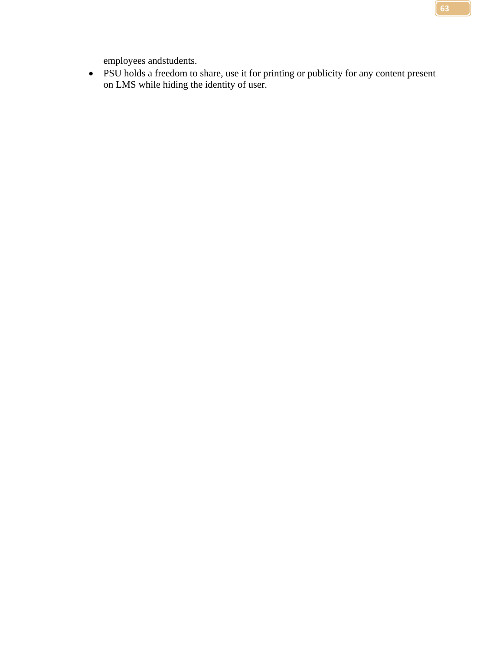employees andstudents.

• PSU holds a freedom to share, use it for printing or publicity for any content present on LMS while hiding the identity of user.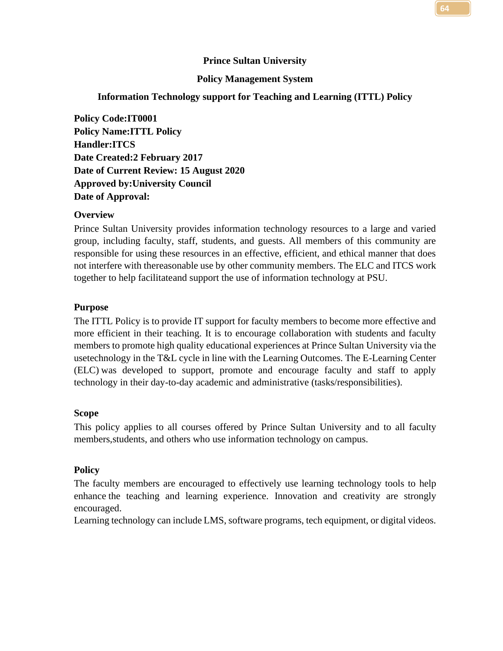## **Prince Sultan University**

## **Policy Management System**

#### **Information Technology support for Teaching and Learning (ITTL) Policy**

**Policy Code:IT0001 Policy Name:ITTL Policy Handler:ITCS Date Created:2 February 2017 Date of Current Review: 15 August 2020 Approved by:University Council Date of Approval:**

#### **Overview**

Prince Sultan University provides information technology resources to a large and varied group, including faculty, staff, students, and guests. All members of this community are responsible for using these resources in an effective, efficient, and ethical manner that does not interfere with thereasonable use by other community members. The ELC and ITCS work together to help facilitateand support the use of information technology at PSU.

#### **Purpose**

The ITTL Policy is to provide IT support for faculty members to become more effective and more efficient in their teaching. It is to encourage collaboration with students and faculty members to promote high quality educational experiences at Prince Sultan University via the usetechnology in the T&L cycle in line with the Learning Outcomes. The E-Learning Center (ELC) was developed to support, promote and encourage faculty and staff to apply technology in their day-to-day academic and administrative (tasks/responsibilities).

#### **Scope**

This policy applies to all courses offered by Prince Sultan University and to all faculty members,students, and others who use information technology on campus.

#### **Policy**

The faculty members are encouraged to effectively use learning technology tools to help enhance the teaching and learning experience. Innovation and creativity are strongly encouraged.

Learning technology can include LMS, software programs, tech equipment, or digital videos.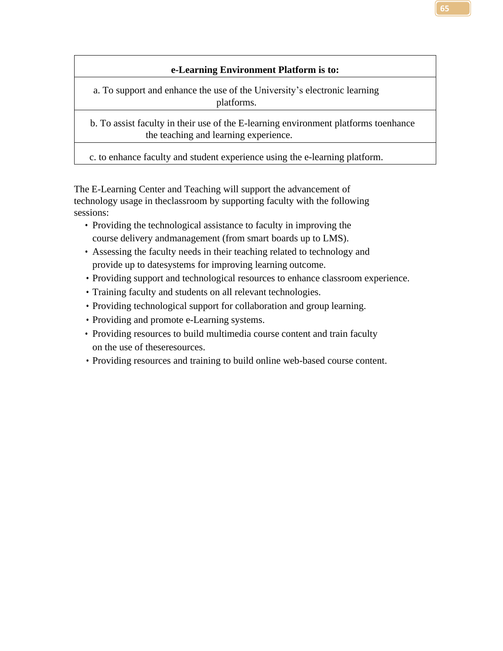## **e-Learning Environment Platform is to:**

a. To support and enhance the use of the University's electronic learning platforms.

b. To assist faculty in their use of the E-learning environment platforms toenhance the teaching and learning experience.

c. to enhance faculty and student experience using the e-learning platform.

The E-Learning Center and Teaching will support the advancement of technology usage in theclassroom by supporting faculty with the following sessions:

- Providing the technological assistance to faculty in improving the course delivery andmanagement (from smart boards up to LMS).
- Assessing the faculty needs in their teaching related to technology and provide up to datesystems for improving learning outcome.
- Providing support and technological resources to enhance classroom experience.
- Training faculty and students on all relevant technologies.
- Providing technological support for collaboration and group learning.
- Providing and promote e-Learning systems.
- Providing resources to build multimedia course content and train faculty on the use of theseresources.
- Providing resources and training to build online web-based course content.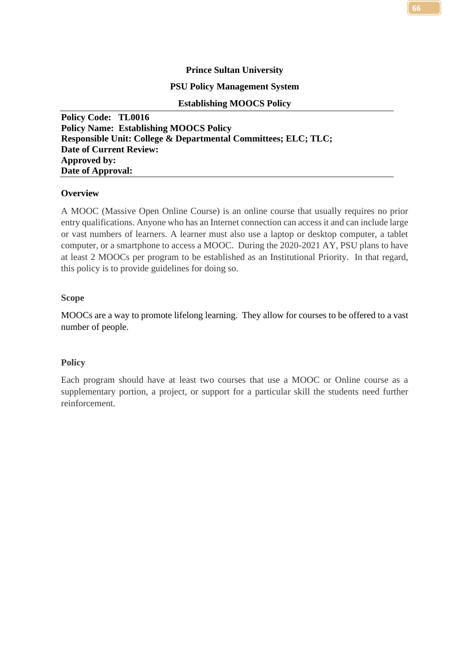## **Prince Sultan University**

## **PSU Policy Management System**

#### **Establishing MOOCS Policy**

**Policy Code: TL0016 Policy Name: Establishing MOOCS Policy Responsible Unit: College & Departmental Committees; ELC; TLC; Date of Current Review: Approved by: Date of Approval:** 

## **Overview**

A MOOC (Massive Open Online Course) is an online course that usually requires no prior entry qualifications. Anyone who has an Internet connection can access it and can include large or vast numbers of learners. A learner must also use a laptop or desktop computer, a tablet computer, or a smartphone to access a MOOC. During the 2020-2021 AY, PSU plans to have at least 2 MOOCs per program to be established as an Institutional Priority. In that regard, this policy is to provide guidelines for doing so.

#### **Scope**

MOOCs are a way to promote lifelong learning. They allow for courses to be offered to a vast number of people.

## **Policy**

Each program should have at least two courses that use a MOOC or Online course as a supplementary portion, a project, or support for a particular skill the students need further reinforcement.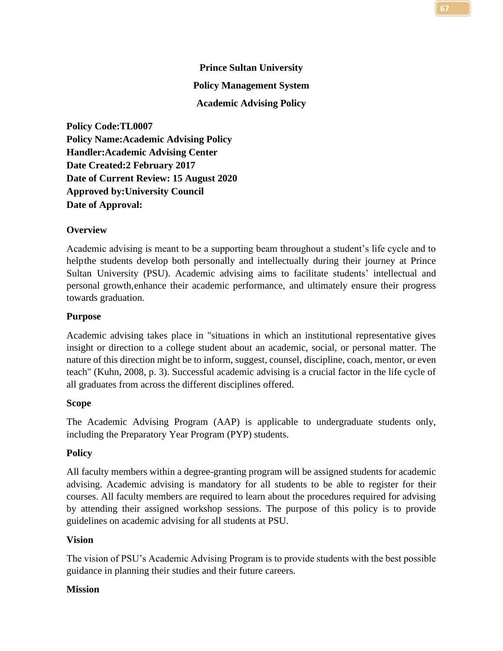# **Prince Sultan University Policy Management System Academic Advising Policy**

**Policy Code:TL0007 Policy Name:Academic Advising Policy Handler:Academic Advising Center Date Created:2 February 2017 Date of Current Review: 15 August 2020 Approved by:University Council Date of Approval:**

## **Overview**

Academic advising is meant to be a supporting beam throughout a student's life cycle and to helpthe students develop both personally and intellectually during their journey at Prince Sultan University (PSU). Academic advising aims to facilitate students' intellectual and personal growth,enhance their academic performance, and ultimately ensure their progress towards graduation.

## **Purpose**

Academic advising takes place in "situations in which an institutional representative gives insight or direction to a college student about an academic, social, or personal matter. The nature of this direction might be to inform, suggest, counsel, discipline, coach, mentor, or even teach" (Kuhn, 2008, p. 3). Successful academic advising is a crucial factor in the life cycle of all graduates from across the different disciplines offered.

## **Scope**

The Academic Advising Program (AAP) is applicable to undergraduate students only, including the Preparatory Year Program (PYP) students.

## **Policy**

All faculty members within a degree-granting program will be assigned students for academic advising. Academic advising is mandatory for all students to be able to register for their courses. All faculty members are required to learn about the procedures required for advising by attending their assigned workshop sessions. The purpose of this policy is to provide guidelines on academic advising for all students at PSU.

## **Vision**

The vision of PSU's Academic Advising Program is to provide students with the best possible guidance in planning their studies and their future careers.

## **Mission**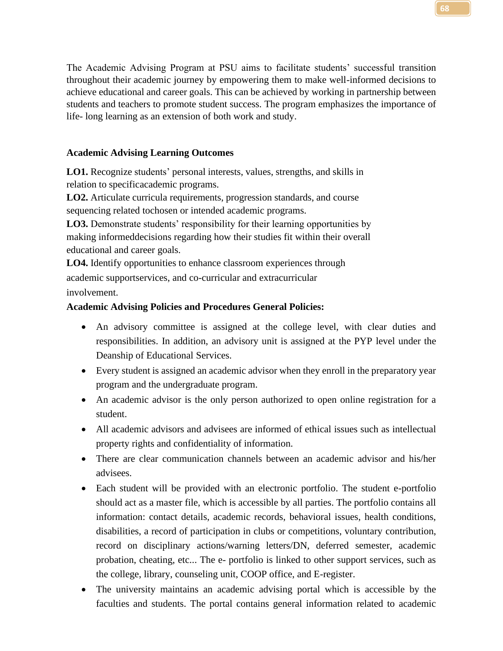The Academic Advising Program at PSU aims to facilitate students' successful transition throughout their academic journey by empowering them to make well-informed decisions to achieve educational and career goals. This can be achieved by working in partnership between students and teachers to promote student success. The program emphasizes the importance of life- long learning as an extension of both work and study.

## **Academic Advising Learning Outcomes**

**LO1.** Recognize students' personal interests, values, strengths, and skills in relation to specificacademic programs.

**LO2.** Articulate curricula requirements, progression standards, and course sequencing related tochosen or intended academic programs.

**LO3.** Demonstrate students' responsibility for their learning opportunities by making informeddecisions regarding how their studies fit within their overall educational and career goals.

**LO4.** Identify opportunities to enhance classroom experiences through academic supportservices, and co-curricular and extracurricular involvement.

## **Academic Advising Policies and Procedures General Policies:**

- An advisory committee is assigned at the college level, with clear duties and responsibilities. In addition, an advisory unit is assigned at the PYP level under the Deanship of Educational Services.
- Every student is assigned an academic advisor when they enroll in the preparatory year program and the undergraduate program.
- An academic advisor is the only person authorized to open online registration for a student.
- All academic advisors and advisees are informed of ethical issues such as intellectual property rights and confidentiality of information.
- There are clear communication channels between an academic advisor and his/her advisees.
- Each student will be provided with an electronic portfolio. The student e-portfolio should act as a master file, which is accessible by all parties. The portfolio contains all information: contact details, academic records, behavioral issues, health conditions, disabilities, a record of participation in clubs or competitions, voluntary contribution, record on disciplinary actions/warning letters/DN, deferred semester, academic probation, cheating, etc... The e- portfolio is linked to other support services, such as the college, library, counseling unit, COOP office, and E-register.
- The university maintains an academic advising portal which is accessible by the faculties and students. The portal contains general information related to academic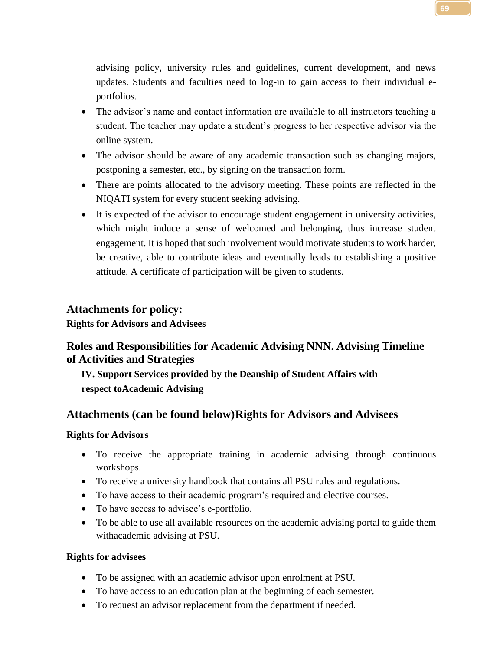advising policy, university rules and guidelines, current development, and news updates. Students and faculties need to log-in to gain access to their individual eportfolios.

- The advisor's name and contact information are available to all instructors teaching a student. The teacher may update a student's progress to her respective advisor via the online system.
- The advisor should be aware of any academic transaction such as changing majors, postponing a semester, etc., by signing on the transaction form.
- There are points allocated to the advisory meeting. These points are reflected in the NIQATI system for every student seeking advising.
- It is expected of the advisor to encourage student engagement in university activities, which might induce a sense of welcomed and belonging, thus increase student engagement. It is hoped that such involvement would motivate students to work harder, be creative, able to contribute ideas and eventually leads to establishing a positive attitude. A certificate of participation will be given to students.

## **Attachments for policy:**

**Rights for Advisors and Advisees**

## **Roles and Responsibilities for Academic Advising NNN. Advising Timeline of Activities and Strategies**

**IV. Support Services provided by the Deanship of Student Affairs with respect toAcademic Advising**

## **Attachments (can be found below)Rights for Advisors and Advisees**

## **Rights for Advisors**

- To receive the appropriate training in academic advising through continuous workshops.
- To receive a university handbook that contains all PSU rules and regulations.
- To have access to their academic program's required and elective courses.
- To have access to advisee's e-portfolio.
- To be able to use all available resources on the academic advising portal to guide them withacademic advising at PSU.

## **Rights for advisees**

- To be assigned with an academic advisor upon enrolment at PSU.
- To have access to an education plan at the beginning of each semester.
- To request an advisor replacement from the department if needed.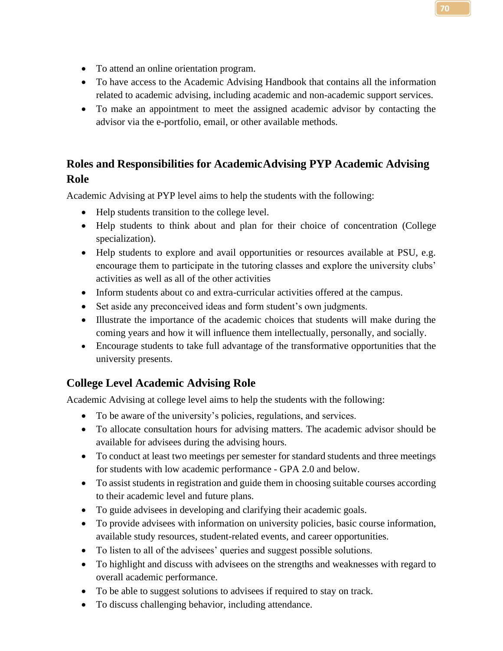- To attend an online orientation program.
- To have access to the Academic Advising Handbook that contains all the information related to academic advising, including academic and non-academic support services.
- To make an appointment to meet the assigned academic advisor by contacting the advisor via the e-portfolio, email, or other available methods.

## **Roles and Responsibilities for AcademicAdvising PYP Academic Advising Role**

Academic Advising at PYP level aims to help the students with the following:

- Help students transition to the college level.
- Help students to think about and plan for their choice of concentration (College specialization).
- Help students to explore and avail opportunities or resources available at PSU, e.g. encourage them to participate in the tutoring classes and explore the university clubs' activities as well as all of the other activities
- Inform students about co and extra-curricular activities offered at the campus.
- Set aside any preconceived ideas and form student's own judgments.
- Illustrate the importance of the academic choices that students will make during the coming years and how it will influence them intellectually, personally, and socially.
- Encourage students to take full advantage of the transformative opportunities that the university presents.

## **College Level Academic Advising Role**

Academic Advising at college level aims to help the students with the following:

- To be aware of the university's policies, regulations, and services.
- To allocate consultation hours for advising matters. The academic advisor should be available for advisees during the advising hours.
- To conduct at least two meetings per semester for standard students and three meetings for students with low academic performance - GPA 2.0 and below.
- To assist students in registration and guide them in choosing suitable courses according to their academic level and future plans.
- To guide advisees in developing and clarifying their academic goals.
- To provide advisees with information on university policies, basic course information, available study resources, student-related events, and career opportunities.
- To listen to all of the advisees' queries and suggest possible solutions.
- To highlight and discuss with advisees on the strengths and weaknesses with regard to overall academic performance.
- To be able to suggest solutions to advisees if required to stay on track.
- To discuss challenging behavior, including attendance.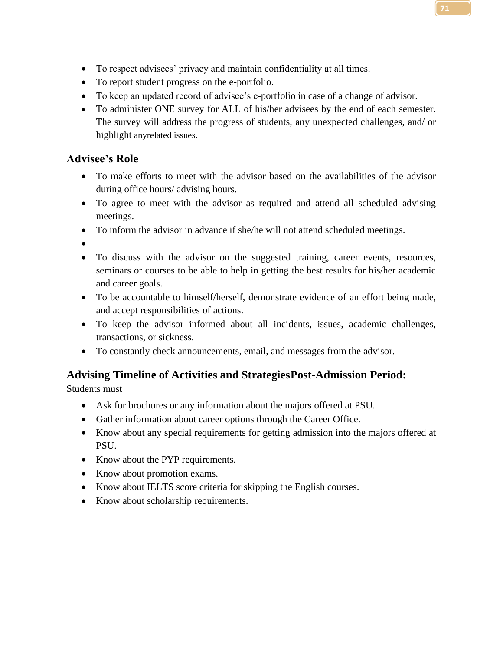- To respect advisees' privacy and maintain confidentiality at all times.
- To report student progress on the e-portfolio.
- To keep an updated record of advisee's e-portfolio in case of a change of advisor.
- To administer ONE survey for ALL of his/her advisees by the end of each semester. The survey will address the progress of students, any unexpected challenges, and/ or highlight anyrelated issues.

## **Advisee's Role**

- To make efforts to meet with the advisor based on the availabilities of the advisor during office hours/ advising hours.
- To agree to meet with the advisor as required and attend all scheduled advising meetings.
- To inform the advisor in advance if she/he will not attend scheduled meetings.
- •
- To discuss with the advisor on the suggested training, career events, resources, seminars or courses to be able to help in getting the best results for his/her academic and career goals.
- To be accountable to himself/herself, demonstrate evidence of an effort being made, and accept responsibilities of actions.
- To keep the advisor informed about all incidents, issues, academic challenges, transactions, or sickness.
- To constantly check announcements, email, and messages from the advisor.

# **Advising Timeline of Activities and StrategiesPost-Admission Period:**

Students must

- Ask for brochures or any information about the majors offered at PSU.
- Gather information about career options through the Career Office.
- Know about any special requirements for getting admission into the majors offered at PSU.
- Know about the PYP requirements.
- Know about promotion exams.
- Know about IELTS score criteria for skipping the English courses.
- Know about scholarship requirements.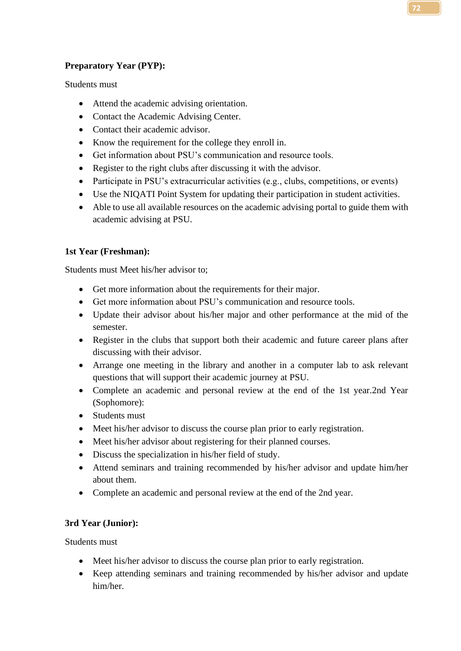**72**

## **Preparatory Year (PYP):**

Students must

- Attend the academic advising orientation.
- Contact the Academic Advising Center.
- Contact their academic advisor.
- Know the requirement for the college they enroll in.
- Get information about PSU's communication and resource tools.
- Register to the right clubs after discussing it with the advisor.
- Participate in PSU's extracurricular activities (e.g., clubs, competitions, or events)
- Use the NIQATI Point System for updating their participation in student activities.
- Able to use all available resources on the academic advising portal to guide them with academic advising at PSU.

## **1st Year (Freshman):**

Students must Meet his/her advisor to;

- Get more information about the requirements for their major.
- Get more information about PSU's communication and resource tools.
- Update their advisor about his/her major and other performance at the mid of the semester.
- Register in the clubs that support both their academic and future career plans after discussing with their advisor.
- Arrange one meeting in the library and another in a computer lab to ask relevant questions that will support their academic journey at PSU.
- Complete an academic and personal review at the end of the 1st year.2nd Year (Sophomore):
- Students must
- Meet his/her advisor to discuss the course plan prior to early registration.
- Meet his/her advisor about registering for their planned courses.
- Discuss the specialization in his/her field of study.
- Attend seminars and training recommended by his/her advisor and update him/her about them.
- Complete an academic and personal review at the end of the 2nd year.

## **3rd Year (Junior):**

Students must

- Meet his/her advisor to discuss the course plan prior to early registration.
- Keep attending seminars and training recommended by his/her advisor and update him/her.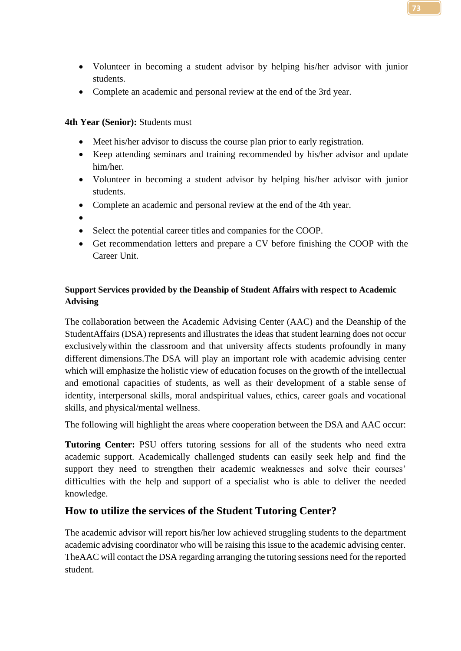- Volunteer in becoming a student advisor by helping his/her advisor with junior students.
- Complete an academic and personal review at the end of the 3rd year.

## **4th Year (Senior):** Students must

- Meet his/her advisor to discuss the course plan prior to early registration.
- Keep attending seminars and training recommended by his/her advisor and update him/her.
- Volunteer in becoming a student advisor by helping his/her advisor with junior students.
- Complete an academic and personal review at the end of the 4th year.
- •
- Select the potential career titles and companies for the COOP.
- Get recommendation letters and prepare a CV before finishing the COOP with the Career Unit.

## **Support Services provided by the Deanship of Student Affairs with respect to Academic Advising**

The collaboration between the Academic Advising Center (AAC) and the Deanship of the StudentAffairs (DSA) represents and illustrates the ideas that student learning does not occur exclusivelywithin the classroom and that university affects students profoundly in many different dimensions.The DSA will play an important role with academic advising center which will emphasize the holistic view of education focuses on the growth of the intellectual and emotional capacities of students, as well as their development of a stable sense of identity, interpersonal skills, moral andspiritual values, ethics, career goals and vocational skills, and physical/mental wellness.

The following will highlight the areas where cooperation between the DSA and AAC occur:

**Tutoring Center:** PSU offers tutoring sessions for all of the students who need extra academic support. Academically challenged students can easily seek help and find the support they need to strengthen their academic weaknesses and solve their courses' difficulties with the help and support of a specialist who is able to deliver the needed knowledge.

## **How to utilize the services of the Student Tutoring Center?**

The academic advisor will report his/her low achieved struggling students to the department academic advising coordinator who will be raising this issue to the academic advising center. TheAAC will contact the DSA regarding arranging the tutoring sessions need for the reported student.

**73**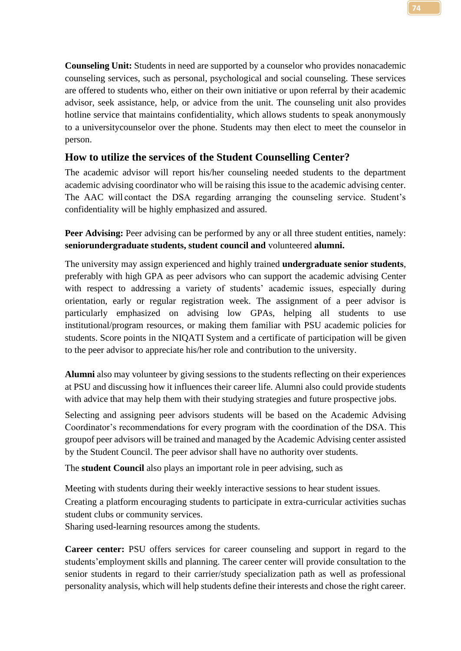**Counseling Unit:** Students in need are supported by a counselor who provides nonacademic counseling services, such as personal, psychological and social counseling. These services are offered to students who, either on their own initiative or upon referral by their academic advisor, seek assistance, help, or advice from the unit. The counseling unit also provides hotline service that maintains confidentiality, which allows students to speak anonymously to a universitycounselor over the phone. Students may then elect to meet the counselor in person.

## **How to utilize the services of the Student Counselling Center?**

The academic advisor will report his/her counseling needed students to the department academic advising coordinator who will be raising this issue to the academic advising center. The AAC will contact the DSA regarding arranging the counseling service. Student's confidentiality will be highly emphasized and assured.

**Peer Advising:** Peer advising can be performed by any or all three student entities, namely: **seniorundergraduate students, student council and** volunteered **alumni.**

The university may assign experienced and highly trained **undergraduate senior students**, preferably with high GPA as peer advisors who can support the academic advising Center with respect to addressing a variety of students' academic issues, especially during orientation, early or regular registration week. The assignment of a peer advisor is particularly emphasized on advising low GPAs, helping all students to use institutional/program resources, or making them familiar with PSU academic policies for students. Score points in the NIQATI System and a certificate of participation will be given to the peer advisor to appreciate his/her role and contribution to the university.

**Alumni** also may volunteer by giving sessions to the students reflecting on their experiences at PSU and discussing how it influences their career life. Alumni also could provide students with advice that may help them with their studying strategies and future prospective jobs.

Selecting and assigning peer advisors students will be based on the Academic Advising Coordinator's recommendations for every program with the coordination of the DSA. This groupof peer advisors will be trained and managed by the Academic Advising center assisted by the Student Council. The peer advisor shall have no authority over students.

The **student Council** also plays an important role in peer advising, such as

Meeting with students during their weekly interactive sessions to hear student issues.

Creating a platform encouraging students to participate in extra-curricular activities suchas student clubs or community services.

Sharing used-learning resources among the students.

**Career center:** PSU offers services for career counseling and support in regard to the students'employment skills and planning. The career center will provide consultation to the senior students in regard to their carrier/study specialization path as well as professional personality analysis, which will help students define their interests and chose the right career.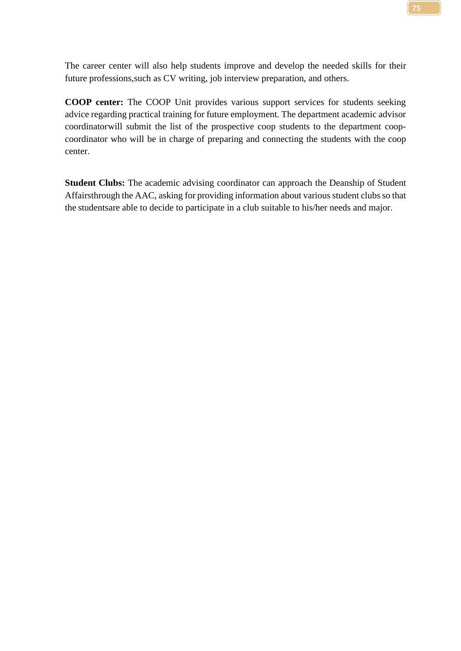The career center will also help students improve and develop the needed skills for their future professions,such as CV writing, job interview preparation, and others.

**COOP center:** The COOP Unit provides various support services for students seeking advice regarding practical training for future employment. The department academic advisor coordinatorwill submit the list of the prospective coop students to the department coopcoordinator who will be in charge of preparing and connecting the students with the coop center.

**Student Clubs:** The academic advising coordinator can approach the Deanship of Student Affairsthrough the AAC, asking for providing information about various student clubs so that the studentsare able to decide to participate in a club suitable to his/her needs and major.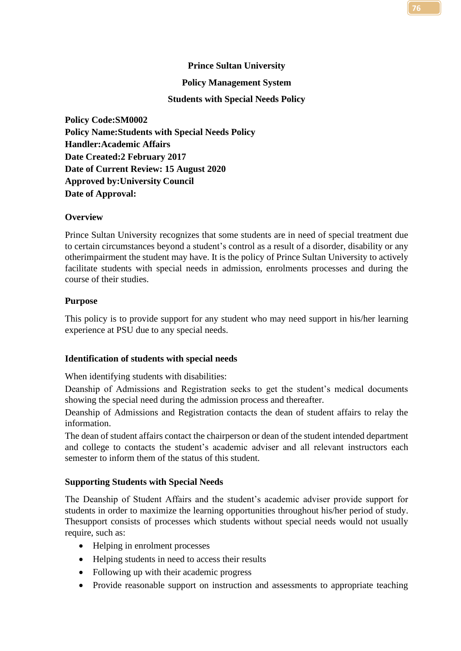# **Prince Sultan University Policy Management System Students with Special Needs Policy**

**Policy Code:SM0002 Policy Name:Students with Special Needs Policy Handler:Academic Affairs Date Created:2 February 2017 Date of Current Review: 15 August 2020 Approved by:University Council Date of Approval:**

## **Overview**

Prince Sultan University recognizes that some students are in need of special treatment due to certain circumstances beyond a student's control as a result of a disorder, disability or any otherimpairment the student may have. It is the policy of Prince Sultan University to actively facilitate students with special needs in admission, enrolments processes and during the course of their studies.

## **Purpose**

This policy is to provide support for any student who may need support in his/her learning experience at PSU due to any special needs.

## **Identification of students with special needs**

When identifying students with disabilities:

Deanship of Admissions and Registration seeks to get the student's medical documents showing the special need during the admission process and thereafter.

Deanship of Admissions and Registration contacts the dean of student affairs to relay the information.

The dean of student affairs contact the chairperson or dean of the student intended department and college to contacts the student's academic adviser and all relevant instructors each semester to inform them of the status of this student.

## **Supporting Students with Special Needs**

The Deanship of Student Affairs and the student's academic adviser provide support for students in order to maximize the learning opportunities throughout his/her period of study. Thesupport consists of processes which students without special needs would not usually require, such as:

- Helping in enrolment processes
- Helping students in need to access their results
- Following up with their academic progress
- Provide reasonable support on instruction and assessments to appropriate teaching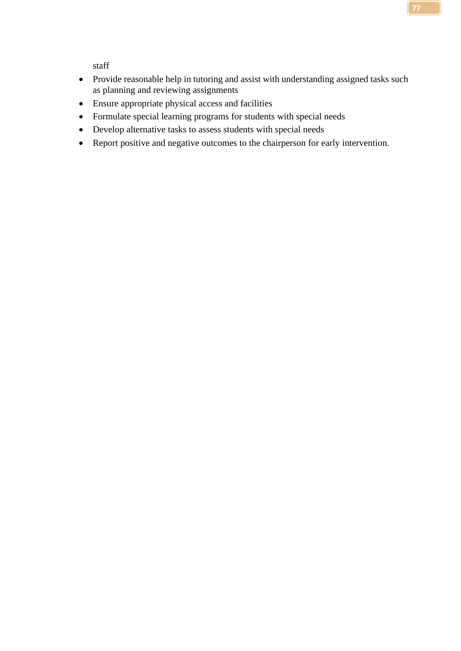staff

- Provide reasonable help in tutoring and assist with understanding assigned tasks such as planning and reviewing assignments
- Ensure appropriate physical access and facilities
- Formulate special learning programs for students with special needs
- Develop alternative tasks to assess students with special needs
- Report positive and negative outcomes to the chairperson for early intervention.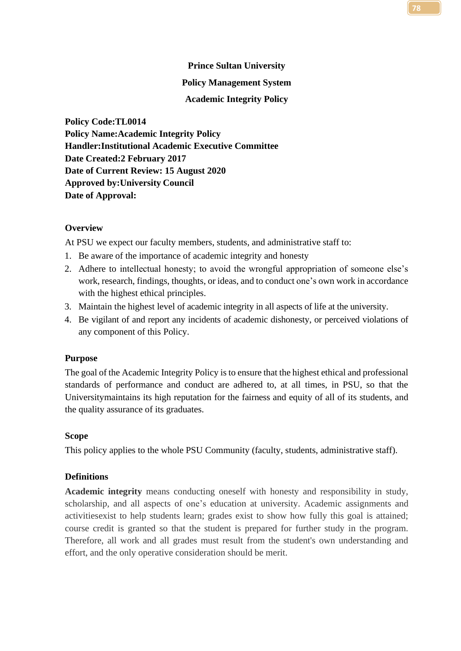# **Prince Sultan University Policy Management System Academic Integrity Policy**

**Policy Code:TL0014 Policy Name:Academic Integrity Policy Handler:Institutional Academic Executive Committee Date Created:2 February 2017 Date of Current Review: 15 August 2020 Approved by:University Council Date of Approval:**

## **Overview**

At PSU we expect our faculty members, students, and administrative staff to:

- 1. Be aware of the importance of academic integrity and honesty
- 2. Adhere to intellectual honesty; to avoid the wrongful appropriation of someone else's work, research, findings, thoughts, or ideas, and to conduct one's own work in accordance with the highest ethical principles.
- 3. Maintain the highest level of academic integrity in all aspects of life at the university.
- 4. Be vigilant of and report any incidents of academic dishonesty, or perceived violations of any component of this Policy.

## **Purpose**

The goal of the Academic Integrity Policy is to ensure that the highest ethical and professional standards of performance and conduct are adhered to, at all times, in PSU, so that the Universitymaintains its high reputation for the fairness and equity of all of its students, and the quality assurance of its graduates.

## **Scope**

This policy applies to the whole PSU Community (faculty, students, administrative staff).

## **Definitions**

**Academic integrity** means conducting oneself with honesty and responsibility in study, scholarship, and all aspects of one's education at university. Academic assignments and activitiesexist to help students learn; grades exist to show how fully this goal is attained; course credit is granted so that the student is prepared for further study in the program. Therefore, all work and all grades must result from the student's own understanding and effort, and the only operative consideration should be merit.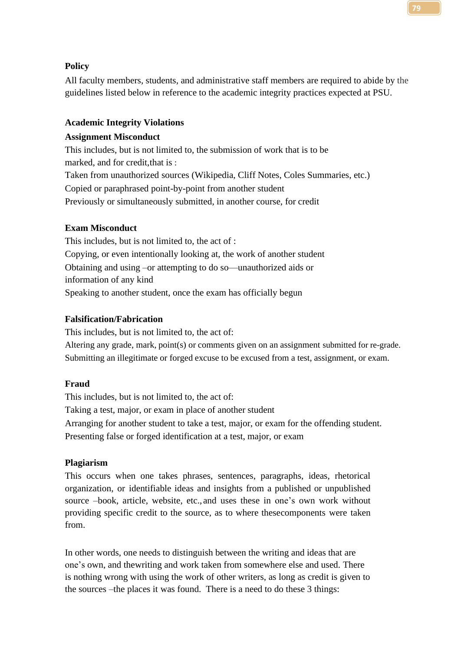## **Policy**

All faculty members, students, and administrative staff members are required to abide by the guidelines listed below in reference to the academic integrity practices expected at PSU.

## **Academic Integrity Violations**

# **Assignment Misconduct**

This includes, but is not limited to, the submission of work that is to be marked, and for credit,that is : Taken from unauthorized sources (Wikipedia, Cliff Notes, Coles Summaries, etc.) Copied or paraphrased point-by-point from another student Previously or simultaneously submitted, in another course, for credit

# **Exam Misconduct**

This includes, but is not limited to, the act of : Copying, or even intentionally looking at, the work of another student Obtaining and using –or attempting to do so—unauthorized aids or information of any kind Speaking to another student, once the exam has officially begun

# **Falsification/Fabrication**

This includes, but is not limited to, the act of:

Altering any grade, mark, point(s) or comments given on an assignment submitted for re-grade. Submitting an illegitimate or forged excuse to be excused from a test, assignment, or exam.

# **Fraud**

This includes, but is not limited to, the act of: Taking a test, major, or exam in place of another student Arranging for another student to take a test, major, or exam for the offending student. Presenting false or forged identification at a test, major, or exam

# **Plagiarism**

This occurs when one takes phrases, sentences, paragraphs, ideas, rhetorical organization, or identifiable ideas and insights from a published or unpublished source –book, article, website, etc., and uses these in one's own work without providing specific credit to the source, as to where thesecomponents were taken from.

In other words, one needs to distinguish between the writing and ideas that are one's own, and thewriting and work taken from somewhere else and used. There is nothing wrong with using the work of other writers, as long as credit is given to the sources –the places it was found. There is a need to do these 3 things: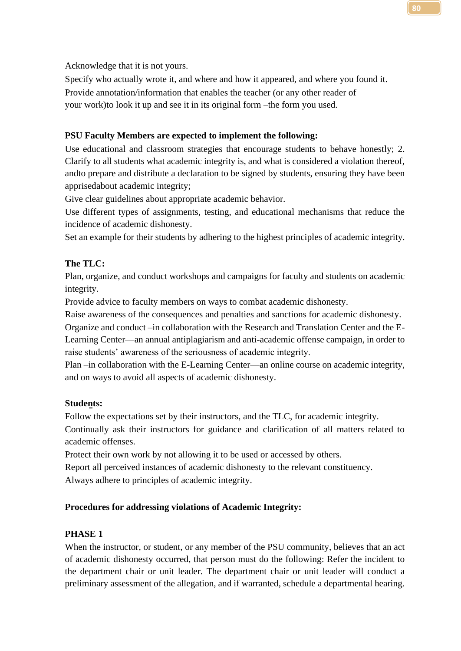Acknowledge that it is not yours.

Specify who actually wrote it, and where and how it appeared, and where you found it. Provide annotation/information that enables the teacher (or any other reader of your work)to look it up and see it in its original form –the form you used.

# **PSU Faculty Members are expected to implement the following:**

Use educational and classroom strategies that encourage students to behave honestly; 2. Clarify to all students what academic integrity is, and what is considered a violation thereof, andto prepare and distribute a declaration to be signed by students, ensuring they have been apprisedabout academic integrity;

Give clear guidelines about appropriate academic behavior.

Use different types of assignments, testing, and educational mechanisms that reduce the incidence of academic dishonesty.

Set an example for their students by adhering to the highest principles of academic integrity.

## **The TLC:**

Plan, organize, and conduct workshops and campaigns for faculty and students on academic integrity.

Provide advice to faculty members on ways to combat academic dishonesty.

Raise awareness of the consequences and penalties and sanctions for academic dishonesty.

Organize and conduct –in collaboration with the Research and Translation Center and the E-Learning Center—an annual antiplagiarism and anti-academic offense campaign, in order to raise students' awareness of the seriousness of academic integrity.

Plan –in collaboration with the E-Learning Center—an online course on academic integrity, and on ways to avoid all aspects of academic dishonesty.

### **Students:**

Follow the expectations set by their instructors, and the TLC, for academic integrity.

Continually ask their instructors for guidance and clarification of all matters related to academic offenses.

Protect their own work by not allowing it to be used or accessed by others.

Report all perceived instances of academic dishonesty to the relevant constituency. Always adhere to principles of academic integrity.

## **Procedures for addressing violations of Academic Integrity:**

### **PHASE 1**

When the instructor, or student, or any member of the PSU community, believes that an act of academic dishonesty occurred, that person must do the following: Refer the incident to the department chair or unit leader. The department chair or unit leader will conduct a preliminary assessment of the allegation, and if warranted, schedule a departmental hearing.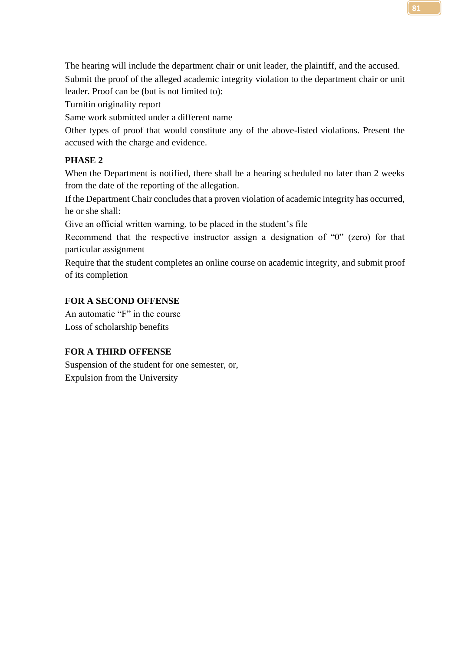The hearing will include the department chair or unit leader, the plaintiff, and the accused. Submit the proof of the alleged academic integrity violation to the department chair or unit leader. Proof can be (but is not limited to):

Turnitin originality report

Same work submitted under a different name

Other types of proof that would constitute any of the above-listed violations. Present the accused with the charge and evidence.

## **PHASE 2**

When the Department is notified, there shall be a hearing scheduled no later than 2 weeks from the date of the reporting of the allegation.

If the Department Chair concludes that a proven violation of academic integrity has occurred, he or she shall:

Give an official written warning, to be placed in the student's file

Recommend that the respective instructor assign a designation of "0" (zero) for that particular assignment

Require that the student completes an online course on academic integrity, and submit proof of its completion

## **FOR A SECOND OFFENSE**

An automatic "F" in the course Loss of scholarship benefits

## **FOR A THIRD OFFENSE**

Suspension of the student for one semester, or, Expulsion from the University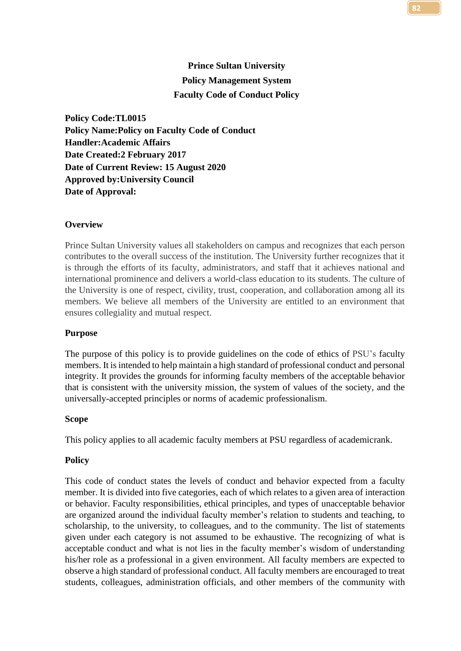# **Prince Sultan University Policy Management System Faculty Code of Conduct Policy**

**Policy Code:TL0015 Policy Name:Policy on Faculty Code of Conduct Handler:Academic Affairs Date Created:2 February 2017 Date of Current Review: 15 August 2020 Approved by:University Council Date of Approval:**

## **Overview**

Prince Sultan University values all stakeholders on campus and recognizes that each person contributes to the overall success of the institution. The University further recognizes that it is through the efforts of its faculty, administrators, and staff that it achieves national and international prominence and delivers a world-class education to its students. The culture of the University is one of respect, civility, trust, cooperation, and collaboration among all its members. We believe all members of the University are entitled to an environment that ensures collegiality and mutual respect.

## **Purpose**

The purpose of this policy is to provide guidelines on the code of ethics of PSU's faculty members. It is intended to help maintain a high standard of professional conduct and personal integrity. It provides the grounds for informing faculty members of the acceptable behavior that is consistent with the university mission, the system of values of the society, and the universally-accepted principles or norms of academic professionalism.

### **Scope**

This policy applies to all academic faculty members at PSU regardless of academicrank.

### **Policy**

This code of conduct states the levels of conduct and behavior expected from a faculty member. It is divided into five categories, each of which relates to a given area of interaction or behavior. Faculty responsibilities, ethical principles, and types of unacceptable behavior are organized around the individual faculty member's relation to students and teaching, to scholarship, to the university, to colleagues, and to the community. The list of statements given under each category is not assumed to be exhaustive. The recognizing of what is acceptable conduct and what is not lies in the faculty member's wisdom of understanding his/her role as a professional in a given environment. All faculty members are expected to observe a high standard of professional conduct. All faculty members are encouraged to treat students, colleagues, administration officials, and other members of the community with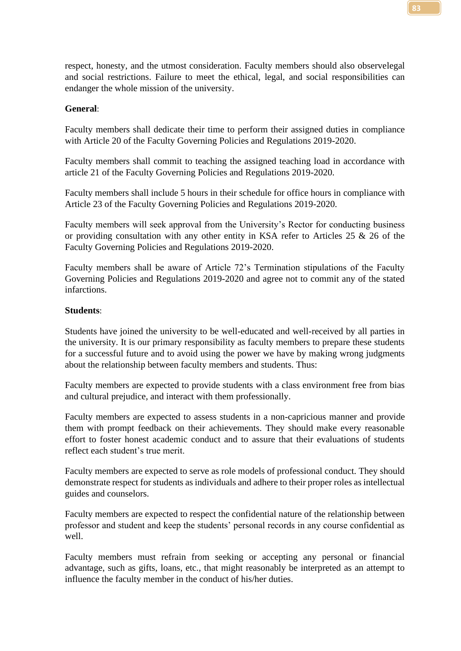respect, honesty, and the utmost consideration. Faculty members should also observelegal and social restrictions. Failure to meet the ethical, legal, and social responsibilities can endanger the whole mission of the university.

### **General**:

Faculty members shall dedicate their time to perform their assigned duties in compliance with Article 20 of the Faculty Governing Policies and Regulations 2019-2020.

Faculty members shall commit to teaching the assigned teaching load in accordance with article 21 of the Faculty Governing Policies and Regulations 2019-2020.

Faculty members shall include 5 hours in their schedule for office hours in compliance with Article 23 of the Faculty Governing Policies and Regulations 2019-2020.

Faculty members will seek approval from the University's Rector for conducting business or providing consultation with any other entity in KSA refer to Articles 25 & 26 of the Faculty Governing Policies and Regulations 2019-2020.

Faculty members shall be aware of Article 72's Termination stipulations of the Faculty Governing Policies and Regulations 2019-2020 and agree not to commit any of the stated infarctions.

#### **Students**:

Students have joined the university to be well-educated and well-received by all parties in the university. It is our primary responsibility as faculty members to prepare these students for a successful future and to avoid using the power we have by making wrong judgments about the relationship between faculty members and students. Thus:

Faculty members are expected to provide students with a class environment free from bias and cultural prejudice, and interact with them professionally.

Faculty members are expected to assess students in a non-capricious manner and provide them with prompt feedback on their achievements. They should make every reasonable effort to foster honest academic conduct and to assure that their evaluations of students reflect each student's true merit.

Faculty members are expected to serve as role models of professional conduct. They should demonstrate respect for students as individuals and adhere to their proper roles as intellectual guides and counselors.

Faculty members are expected to respect the confidential nature of the relationship between professor and student and keep the students' personal records in any course confidential as well.

Faculty members must refrain from seeking or accepting any personal or financial advantage, such as gifts, loans, etc., that might reasonably be interpreted as an attempt to influence the faculty member in the conduct of his/her duties.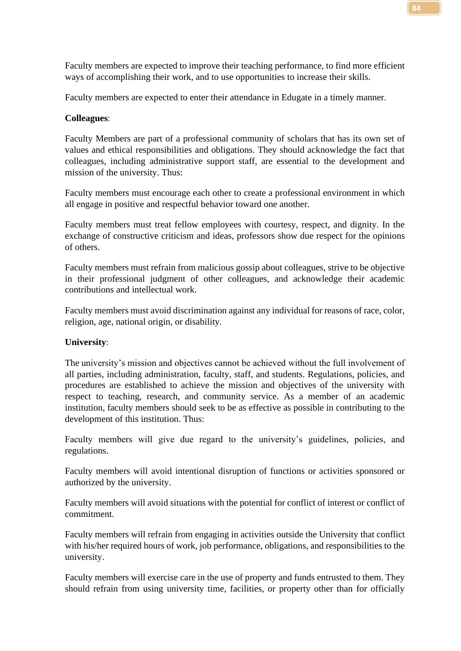Faculty members are expected to improve their teaching performance, to find more efficient ways of accomplishing their work, and to use opportunities to increase their skills.

Faculty members are expected to enter their attendance in Edugate in a timely manner.

### **Colleagues**:

Faculty Members are part of a professional community of scholars that has its own set of values and ethical responsibilities and obligations. They should acknowledge the fact that colleagues, including administrative support staff, are essential to the development and mission of the university. Thus:

Faculty members must encourage each other to create a professional environment in which all engage in positive and respectful behavior toward one another.

Faculty members must treat fellow employees with courtesy, respect, and dignity. In the exchange of constructive criticism and ideas, professors show due respect for the opinions of others.

Faculty members must refrain from malicious gossip about colleagues, strive to be objective in their professional judgment of other colleagues, and acknowledge their academic contributions and intellectual work.

Faculty members must avoid discrimination against any individual for reasons of race, color, religion, age, national origin, or disability.

### **University**:

The university's mission and objectives cannot be achieved without the full involvement of all parties, including administration, faculty, staff, and students. Regulations, policies, and procedures are established to achieve the mission and objectives of the university with respect to teaching, research, and community service. As a member of an academic institution, faculty members should seek to be as effective as possible in contributing to the development of this institution. Thus:

Faculty members will give due regard to the university's guidelines, policies, and regulations.

Faculty members will avoid intentional disruption of functions or activities sponsored or authorized by the university.

Faculty members will avoid situations with the potential for conflict of interest or conflict of commitment.

Faculty members will refrain from engaging in activities outside the University that conflict with his/her required hours of work, job performance, obligations, and responsibilities to the university.

Faculty members will exercise care in the use of property and funds entrusted to them. They should refrain from using university time, facilities, or property other than for officially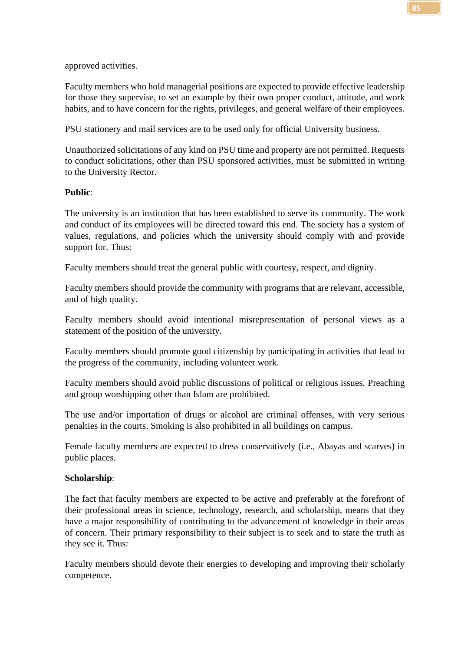approved activities.

Faculty members who hold managerial positions are expected to provide effective leadership for those they supervise, to set an example by their own proper conduct, attitude, and work habits, and to have concern for the rights, privileges, and general welfare of their employees.

PSU stationery and mail services are to be used only for official University business.

Unauthorized solicitations of any kind on PSU time and property are not permitted. Requests to conduct solicitations, other than PSU sponsored activities, must be submitted in writing to the University Rector.

## **Public**:

The university is an institution that has been established to serve its community. The work and conduct of its employees will be directed toward this end. The society has a system of values, regulations, and policies which the university should comply with and provide support for. Thus:

Faculty members should treat the general public with courtesy, respect, and dignity.

Faculty members should provide the community with programs that are relevant, accessible, and of high quality.

Faculty members should avoid intentional misrepresentation of personal views as a statement of the position of the university.

Faculty members should promote good citizenship by participating in activities that lead to the progress of the community, including volunteer work.

Faculty members should avoid public discussions of political or religious issues. Preaching and group worshipping other than Islam are prohibited.

The use and/or importation of drugs or alcohol are criminal offenses, with very serious penalties in the courts. Smoking is also prohibited in all buildings on campus.

Female faculty members are expected to dress conservatively (i.e., Abayas and scarves) in public places.

## **Scholarship**:

The fact that faculty members are expected to be active and preferably at the forefront of their professional areas in science, technology, research, and scholarship, means that they have a major responsibility of contributing to the advancement of knowledge in their areas of concern. Their primary responsibility to their subject is to seek and to state the truth as they see it. Thus:

Faculty members should devote their energies to developing and improving their scholarly competence.